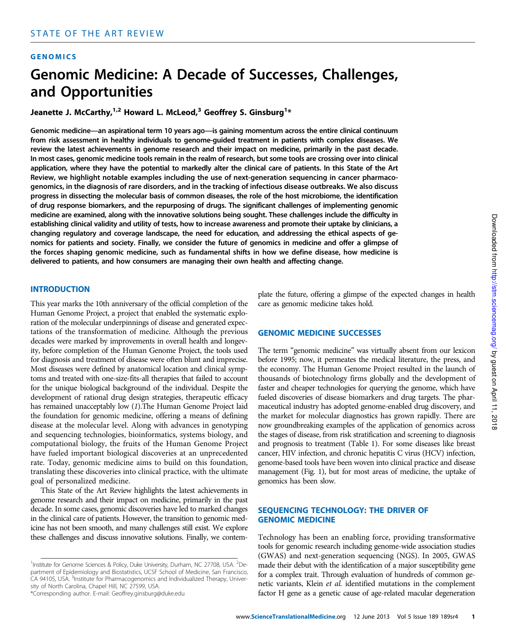#### GENOMICS

# Genomic Medicine: A Decade of Successes, Challenges, and Opportunities

Jeanette J. McCarthy,<sup>1,2</sup> Howard L. McLeod,<sup>3</sup> Geoffrey S. Ginsburg<sup>1</sup>\*

Genomic medicine—an aspirational term 10 years ago—is gaining momentum across the entire clinical continuum from risk assessment in healthy individuals to genome-guided treatment in patients with complex diseases. We review the latest achievements in genome research and their impact on medicine, primarily in the past decade. In most cases, genomic medicine tools remain in the realm of research, but some tools are crossing over into clinical application, where they have the potential to markedly alter the clinical care of patients. In this State of the Art Review, we highlight notable examples including the use of next-generation sequencing in cancer pharmacogenomics, in the diagnosis of rare disorders, and in the tracking of infectious disease outbreaks. We also discuss progress in dissecting the molecular basis of common diseases, the role of the host microbiome, the identification of drug response biomarkers, and the repurposing of drugs. The significant challenges of implementing genomic medicine are examined, along with the innovative solutions being sought. These challenges include the difficulty in establishing clinical validity and utility of tests, how to increase awareness and promote their uptake by clinicians, a changing regulatory and coverage landscape, the need for education, and addressing the ethical aspects of genomics for patients and society. Finally, we consider the future of genomics in medicine and offer a glimpse of the forces shaping genomic medicine, such as fundamental shifts in how we define disease, how medicine is delivered to patients, and how consumers are managing their own health and affecting change.

#### **INTRODUCTION**

This year marks the 10th anniversary of the official completion of the Human Genome Project, a project that enabled the systematic exploration of the molecular underpinnings of disease and generated expectations of the transformation of medicine. Although the previous decades were marked by improvements in overall health and longevity, before completion of the Human Genome Project, the tools used for diagnosis and treatment of disease were often blunt and imprecise. Most diseases were defined by anatomical location and clinical symptoms and treated with one-size-fits-all therapies that failed to account for the unique biological background of the individual. Despite the development of rational drug design strategies, therapeutic efficacy has remained unacceptably low (1).The Human Genome Project laid the foundation for genomic medicine, offering a means of defining disease at the molecular level. Along with advances in genotyping and sequencing technologies, bioinformatics, systems biology, and computational biology, the fruits of the Human Genome Project have fueled important biological discoveries at an unprecedented rate. Today, genomic medicine aims to build on this foundation, translating these discoveries into clinical practice, with the ultimate goal of personalized medicine.

This State of the Art Review highlights the latest achievements in genome research and their impact on medicine, primarily in the past decade. In some cases, genomic discoveries have led to marked changes in the clinical care of patients. However, the transition to genomic medicine has not been smooth, and many challenges still exist. We explore these challenges and discuss innovative solutions. Finally, we contem-

\*Corresponding author. E-mail: Geoffrey.ginsburg@duke.edu

plate the future, offering a glimpse of the expected changes in health care as genomic medicine takes hold.

#### GENOMIC MEDICINE SUCCESSES

The term "genomic medicine" was virtually absent from our lexicon before 1995; now, it permeates the medical literature, the press, and the economy. The Human Genome Project resulted in the launch of thousands of biotechnology firms globally and the development of faster and cheaper technologies for querying the genome, which have fueled discoveries of disease biomarkers and drug targets. The pharmaceutical industry has adopted genome-enabled drug discovery, and the market for molecular diagnostics has grown rapidly. There are now groundbreaking examples of the application of genomics across the stages of disease, from risk stratification and screening to diagnosis and prognosis to treatment (Table 1). For some diseases like breast cancer, HIV infection, and chronic hepatitis C virus (HCV) infection, genome-based tools have been woven into clinical practice and disease management (Fig. 1), but for most areas of medicine, the uptake of genomics has been slow.

#### SEQUENCING TECHNOLOGY: THE DRIVER OF GENOMIC MEDICINE

Technology has been an enabling force, providing transformative tools for genomic research including genome-wide association studies (GWAS) and next-generation sequencing (NGS). In 2005, GWAS made their debut with the identification of a major susceptibility gene for a complex trait. Through evaluation of hundreds of common genetic variants, Klein et al. identified mutations in the complement factor H gene as a genetic cause of age-related macular degeneration

<sup>&</sup>lt;sup>1</sup>Institute for Genome Sciences & Policy, Duke University, Durham, NC 27708, USA. <sup>2</sup>Department of Epidemiology and Biostatistics, UCSF School of Medicine, San Francisco, .<br>CA 94105, USA. <sup>3</sup>Institute for Pharmacogenomics and Individualized Therapy, University of North Carolina, Chapel Hill, NC 27599, USA.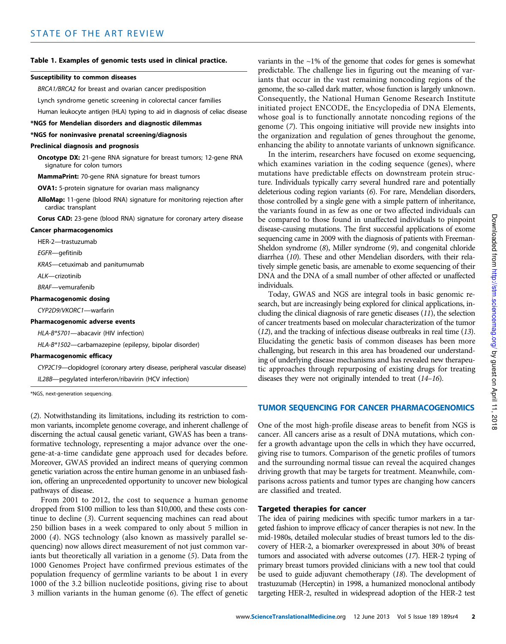#### Table 1. Examples of genomic tests used in clinical practice.

#### Susceptibility to common diseases

*BRCA1/BRCA2* for breast and ovarian cancer predisposition

Lynch syndrome genetic screening in colorectal cancer families

Human leukocyte antigen (HLA) typing to aid in diagnosis of celiac disease

\*NGS for Mendelian disorders and diagnostic dilemmas

\*NGS for noninvasive prenatal screening/diagnosis

#### Preclinical diagnosis and prognosis

Oncotype DX: 21-gene RNA signature for breast tumors; 12-gene RNA signature for colon tumors

MammaPrint: 70-gene RNA signature for breast tumors

OVA1: 5-protein signature for ovarian mass malignancy

AlloMap: 11-gene (blood RNA) signature for monitoring rejection after cardiac transplant

Corus CAD: 23-gene (blood RNA) signature for coronary artery disease

#### Cancer pharmacogenomics

HER-2—trastuzumab

*EGFR*—gefitinib

*KRAS*—cetuximab and panitumumab

*ALK*—crizotinib

*BRAF*—vemurafenib

#### Pharmacogenomic dosing

*CYP2D9*/*VKORC1*—warfarin

#### Pharmacogenomic adverse events

*HLA-B\*5701*—abacavir (HIV infection)

*HLA-B\*1502*—carbamazepine (epilepsy, bipolar disorder)

#### Pharmacogenomic efficacy

*CYP2C19*—clopidogrel (coronary artery disease, peripheral vascular disease)

*IL28B*—pegylated interferon/ribavirin (HCV infection)

\*NGS, next-generation sequencing.

(2). Notwithstanding its limitations, including its restriction to common variants, incomplete genome coverage, and inherent challenge of discerning the actual causal genetic variant, GWAS has been a transformative technology, representing a major advance over the onegene-at-a-time candidate gene approach used for decades before. Moreover, GWAS provided an indirect means of querying common genetic variation across the entire human genome in an unbiased fashion, offering an unprecedented opportunity to uncover new biological pathways of disease.

From 2001 to 2012, the cost to sequence a human genome dropped from \$100 million to less than \$10,000, and these costs continue to decline (3). Current sequencing machines can read about 250 billion bases in a week compared to only about 5 million in 2000 (4). NGS technology (also known as massively parallel sequencing) now allows direct measurement of not just common variants but theoretically all variation in a genome (5). Data from the 1000 Genomes Project have confirmed previous estimates of the population frequency of germline variants to be about 1 in every 1000 of the 3.2 billion nucleotide positions, giving rise to about 3 million variants in the human genome (6). The effect of genetic

variants in the ~1% of the genome that codes for genes is somewhat predictable. The challenge lies in figuring out the meaning of variants that occur in the vast remaining noncoding regions of the genome, the so-called dark matter, whose function is largely unknown. Consequently, the National Human Genome Research Institute initiated project ENCODE, the Encyclopedia of DNA Elements, whose goal is to functionally annotate noncoding regions of the genome (7). This ongoing initiative will provide new insights into the organization and regulation of genes throughout the genome, enhancing the ability to annotate variants of unknown significance.

In the interim, researchers have focused on exome sequencing, which examines variation in the coding sequence (genes), where mutations have predictable effects on downstream protein structure. Individuals typically carry several hundred rare and potentially deleterious coding region variants (6). For rare, Mendelian disorders, those controlled by a single gene with a simple pattern of inheritance, the variants found in as few as one or two affected individuals can be compared to those found in unaffected individuals to pinpoint disease-causing mutations. The first successful applications of exome sequencing came in 2009 with the diagnosis of patients with Freeman-Sheldon syndrome (8), Miller syndrome (9), and congenital chloride diarrhea (10). These and other Mendelian disorders, with their relatively simple genetic basis, are amenable to exome sequencing of their DNA and the DNA of a small number of other affected or unaffected individuals.

Today, GWAS and NGS are integral tools in basic genomic research, but are increasingly being explored for clinical applications, including the clinical diagnosis of rare genetic diseases (11), the selection of cancer treatments based on molecular characterization of the tumor (12), and the tracking of infectious disease outbreaks in real time (13). Elucidating the genetic basis of common diseases has been more challenging, but research in this area has broadened our understanding of underlying disease mechanisms and has revealed new therapeutic approaches through repurposing of existing drugs for treating diseases they were not originally intended to treat (14–16).

#### TUMOR SEQUENCING FOR CANCER PHARMACOGENOMICS

One of the most high-profile disease areas to benefit from NGS is cancer. All cancers arise as a result of DNA mutations, which confer a growth advantage upon the cells in which they have occurred, giving rise to tumors. Comparison of the genetic profiles of tumors and the surrounding normal tissue can reveal the acquired changes driving growth that may be targets for treatment. Meanwhile, comparisons across patients and tumor types are changing how cancers are classified and treated.

#### Targeted therapies for cancer

The idea of pairing medicines with specific tumor markers in a targeted fashion to improve efficacy of cancer therapies is not new. In the mid-1980s, detailed molecular studies of breast tumors led to the discovery of HER-2, a biomarker overexpressed in about 30% of breast tumors and associated with adverse outcomes (17). HER-2 typing of primary breast tumors provided clinicians with a new tool that could be used to guide adjuvant chemotherapy (18). The development of trastuzumab (Herceptin) in 1998, a humanized monoclonal antibody targeting HER-2, resulted in widespread adoption of the HER-2 test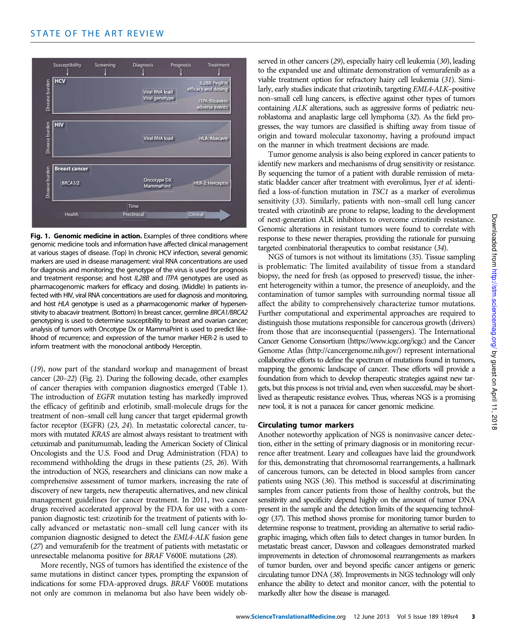

Fig. 1. Genomic medicine in action. Examples of three conditions where genomic medicine tools and information have affected clinical management at various stages of disease. (Top) In chronic HCV infection, several genomic markers are used in disease management: viral RNA concentrations are used for diagnosis and monitoring; the genotype of the virus is used for prognosis and treatment response; and host *IL28B* and *ITPA* genotypes are used as pharmacogenomic markers for efficacy and dosing. (Middle) In patients infected with HIV, viral RNA concentrations are used for diagnosis and monitoring, and host *HLA* genotype is used as a pharmacogenomic marker of hypersensitivity to abacavir treatment. (Bottom) In breast cancer, germline *BRCA1/BRCA2* genotyping is used to determine susceptibility to breast and ovarian cancer; analysis of tumors with Oncotype Dx or MammaPrint is used to predict likelihood of recurrence; and expression of the tumor marker HER-2 is used to inform treatment with the monoclonal antibody Herceptin.

(19), now part of the standard workup and management of breast cancer (20–22) (Fig. 2). During the following decade, other examples of cancer therapies with companion diagnostics emerged (Table 1). The introduction of EGFR mutation testing has markedly improved the efficacy of gefitinib and erlotinib, small-molecule drugs for the treatment of non–small cell lung cancer that target epidermal growth factor receptor (EGFR) (23, 24). In metastatic colorectal cancer, tumors with mutated KRAS are almost always resistant to treatment with cetuximab and panitumumab, leading the American Society of Clinical Oncologists and the U.S. Food and Drug Administration (FDA) to recommend withholding the drugs in these patients (25, 26). With the introduction of NGS, researchers and clinicians can now make a comprehensive assessment of tumor markers, increasing the rate of discovery of new targets, new therapeutic alternatives, and new clinical management guidelines for cancer treatment. In 2011, two cancer drugs received accelerated approval by the FDA for use with a companion diagnostic test: crizotinib for the treatment of patients with locally advanced or metastatic non–small cell lung cancer with its companion diagnostic designed to detect the EML4-ALK fusion gene (27) and vemurafenib for the treatment of patients with metastatic or unresectable melanoma positive for BRAF V600E mutations (28).

More recently, NGS of tumors has identified the existence of the same mutations in distinct cancer types, prompting the expansion of indications for some FDA-approved drugs. BRAF V600E mutations not only are common in melanoma but also have been widely ob-

served in other cancers (29), especially hairy cell leukemia (30), leading to the expanded use and ultimate demonstration of vemurafenib as a viable treatment option for refractory hairy cell leukemia (31). Similarly, early studies indicate that crizotinib, targeting EML4-ALK–positive non–small cell lung cancers, is effective against other types of tumors containing ALK alterations, such as aggressive forms of pediatric neuroblastoma and anaplastic large cell lymphoma (32). As the field progresses, the way tumors are classified is shifting away from tissue of origin and toward molecular taxonomy, having a profound impact on the manner in which treatment decisions are made.

Tumor genome analysis is also being explored in cancer patients to identify new markers and mechanisms of drug sensitivity or resistance. By sequencing the tumor of a patient with durable remission of metastatic bladder cancer after treatment with everolimus, Iyer et al. identified a loss-of-function mutation in TSC1 as a marker of everolimus sensitivity (33). Similarly, patients with non–small cell lung cancer treated with crizotinib are prone to relapse, leading to the development of next-generation ALK inhibitors to overcome crizotinib resistance. Genomic alterations in resistant tumors were found to correlate with response to these newer therapies, providing the rationale for pursuing targeted combinatorial therapeutics to combat resistance (34).

NGS of tumors is not without its limitations (35). Tissue sampling is problematic: The limited availability of tissue from a standard biopsy, the need for fresh (as opposed to preserved) tissue, the inherent heterogeneity within a tumor, the presence of aneuploidy, and the contamination of tumor samples with surrounding normal tissue all affect the ability to comprehensively characterize tumor mutations. Further computational and experimental approaches are required to distinguish those mutations responsible for cancerous growth (drivers) from those that are inconsequential (passengers). The International Cancer Genome Consortium (https://www.icgc.org/icgc) and the Cancer Genome Atlas (http://cancergenome.nih.gov/) represent international collaborative efforts to define the spectrum of mutations found in tumors, mapping the genomic landscape of cancer. These efforts will provide a foundation from which to develop therapeutic strategies against new targets, but this process is not trivial and, even when successful, may be shortlived as therapeutic resistance evolves. Thus, whereas NGS is a promising new tool, it is not a panacea for cancer genomic medicine.

#### Circulating tumor markers

Another noteworthy application of NGS is noninvasive cancer detection, either in the setting of primary diagnosis or in monitoring recurrence after treatment. Leary and colleagues have laid the groundwork for this, demonstrating that chromosomal rearrangements, a hallmark of cancerous tumors, can be detected in blood samples from cancer patients using NGS (36). This method is successful at discriminating samples from cancer patients from those of healthy controls, but the sensitivity and specificity depend highly on the amount of tumor DNA present in the sample and the detection limits of the sequencing technology (37). This method shows promise for monitoring tumor burden to determine response to treatment, providing an alternative to serial radiographic imaging, which often fails to detect changes in tumor burden. In metastatic breast cancer, Dawson and colleagues demonstrated marked improvements in detection of chromosomal rearrangements as markers of tumor burden, over and beyond specific cancer antigens or generic circulating tumor DNA (38). Improvements in NGS technology will only enhance the ability to detect and monitor cancer, with the potential to markedly alter how the disease is managed.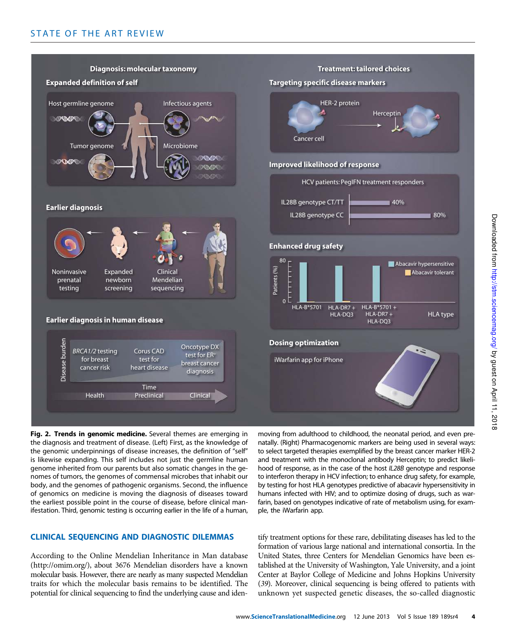

Fig. 2. Trends in genomic medicine. Several themes are emerging in the diagnosis and treatment of disease. (Left) First, as the knowledge of the genomic underpinnings of disease increases, the definition of "self" is likewise expanding. This self includes not just the germline human genome inherited from our parents but also somatic changes in the genomes of tumors, the genomes of commensal microbes that inhabit our body, and the genomes of pathogenic organisms. Second, the influence of genomics on medicine is moving the diagnosis of diseases toward the earliest possible point in the course of disease, before clinical manifestation. Third, genomic testing is occurring earlier in the life of a human,

# CLINICAL SEQUENCING AND DIAGNOSTIC DILEMMAS

According to the Online Mendelian Inheritance in Man database (http://omim.org/), about 3676 Mendelian disorders have a known molecular basis. However, there are nearly as many suspected Mendelian traits for which the molecular basis remains to be identified. The potential for clinical sequencing to find the underlying cause and iden-

moving from adulthood to childhood, the neonatal period, and even prenatally. (Right) Pharmacogenomic markers are being used in several ways: to select targeted therapies exemplified by the breast cancer marker HER-2 and treatment with the monoclonal antibody Herceptin; to predict likelihood of response, as in the case of the host *IL28B* genotype and response to interferon therapy in HCV infection; to enhance drug safety, for example, by testing for host HLA genotypes predictive of abacavir hypersensitivity in humans infected with HIV; and to optimize dosing of drugs, such as warfarin, based on genotypes indicative of rate of metabolism using, for example, the iWarfarin app.

tify treatment options for these rare, debilitating diseases has led to the formation of various large national and international consortia. In the United States, three Centers for Mendelian Genomics have been established at the University of Washington, Yale University, and a joint Center at Baylor College of Medicine and Johns Hopkins University (39). Moreover, clinical sequencing is being offered to patients with unknown yet suspected genetic diseases, the so-called diagnostic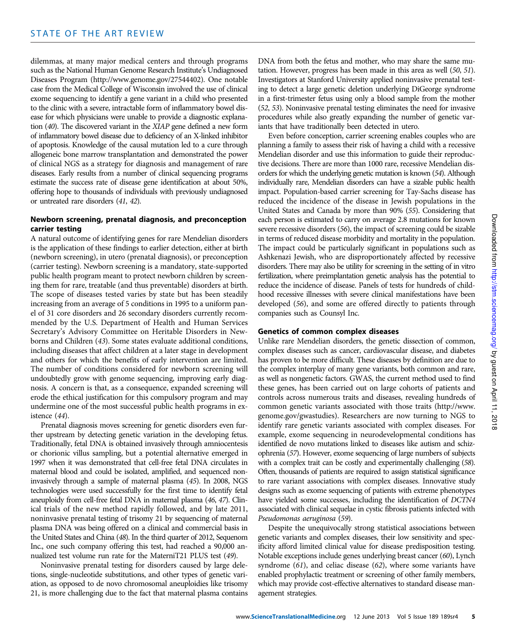dilemmas, at many major medical centers and through programs such as the National Human Genome Research Institute's Undiagnosed Diseases Program (http://www.genome.gov/27544402). One notable case from the Medical College of Wisconsin involved the use of clinical exome sequencing to identify a gene variant in a child who presented to the clinic with a severe, intractable form of inflammatory bowel disease for which physicians were unable to provide a diagnostic explanation (40). The discovered variant in the XIAP gene defined a new form of inflammatory bowel disease due to deficiency of an X-linked inhibitor of apoptosis. Knowledge of the causal mutation led to a cure through allogeneic bone marrow transplantation and demonstrated the power of clinical NGS as a strategy for diagnosis and management of rare diseases. Early results from a number of clinical sequencing programs estimate the success rate of disease gene identification at about 50%, offering hope to thousands of individuals with previously undiagnosed or untreated rare disorders (41, 42).

#### Newborn screening, prenatal diagnosis, and preconception carrier testing

A natural outcome of identifying genes for rare Mendelian disorders is the application of these findings to earlier detection, either at birth (newborn screening), in utero (prenatal diagnosis), or preconception (carrier testing). Newborn screening is a mandatory, state-supported public health program meant to protect newborn children by screening them for rare, treatable (and thus preventable) disorders at birth. The scope of diseases tested varies by state but has been steadily increasing from an average of 5 conditions in 1995 to a uniform panel of 31 core disorders and 26 secondary disorders currently recommended by the U.S. Department of Health and Human Services Secretary's Advisory Committee on Heritable Disorders in Newborns and Children (43). Some states evaluate additional conditions, including diseases that affect children at a later stage in development and others for which the benefits of early intervention are limited. The number of conditions considered for newborn screening will undoubtedly grow with genome sequencing, improving early diagnosis. A concern is that, as a consequence, expanded screening will erode the ethical justification for this compulsory program and may undermine one of the most successful public health programs in existence (44).

Prenatal diagnosis moves screening for genetic disorders even further upstream by detecting genetic variation in the developing fetus. Traditionally, fetal DNA is obtained invasively through amniocentesis or chorionic villus sampling, but a potential alternative emerged in 1997 when it was demonstrated that cell-free fetal DNA circulates in maternal blood and could be isolated, amplified, and sequenced noninvasively through a sample of maternal plasma (45). In 2008, NGS technologies were used successfully for the first time to identify fetal aneuploidy from cell-free fetal DNA in maternal plasma (46, 47). Clinical trials of the new method rapidly followed, and by late 2011, noninvasive prenatal testing of trisomy 21 by sequencing of maternal plasma DNA was being offered on a clinical and commercial basis in the United States and China (48). In the third quarter of 2012, Sequenom Inc., one such company offering this test, had reached a 90,000 annualized test volume run rate for the MaterniT21 PLUS test (49).

Noninvasive prenatal testing for disorders caused by large deletions, single-nucleotide substitutions, and other types of genetic variation, as opposed to de novo chromosomal aneuploidies like trisomy 21, is more challenging due to the fact that maternal plasma contains DNA from both the fetus and mother, who may share the same mutation. However, progress has been made in this area as well (50, 51). Investigators at Stanford University applied noninvasive prenatal testing to detect a large genetic deletion underlying DiGeorge syndrome in a first-trimester fetus using only a blood sample from the mother (52, 53). Noninvasive prenatal testing eliminates the need for invasive procedures while also greatly expanding the number of genetic variants that have traditionally been detected in utero.

Even before conception, carrier screening enables couples who are planning a family to assess their risk of having a child with a recessive Mendelian disorder and use this information to guide their reproductive decisions. There are more than 1000 rare, recessive Mendelian disorders for which the underlying genetic mutation is known (54). Although individually rare, Mendelian disorders can have a sizable public health impact. Population-based carrier screening for Tay-Sachs disease has reduced the incidence of the disease in Jewish populations in the United States and Canada by more than 90% (55). Considering that each person is estimated to carry on average 2.8 mutations for known severe recessive disorders (56), the impact of screening could be sizable in terms of reduced disease morbidity and mortality in the population. The impact could be particularly significant in populations such as Ashkenazi Jewish, who are disproportionately affected by recessive disorders. There may also be utility for screening in the setting of in vitro fertilization, where preimplantation genetic analysis has the potential to reduce the incidence of disease. Panels of tests for hundreds of childhood recessive illnesses with severe clinical manifestations have been developed (56), and some are offered directly to patients through companies such as Counsyl Inc.

#### Genetics of common complex diseases

Unlike rare Mendelian disorders, the genetic dissection of common, complex diseases such as cancer, cardiovascular disease, and diabetes has proven to be more difficult. These diseases by definition are due to the complex interplay of many gene variants, both common and rare, as well as nongenetic factors. GWAS, the current method used to find these genes, has been carried out on large cohorts of patients and controls across numerous traits and diseases, revealing hundreds of common genetic variants associated with those traits (http://www. genome.gov/gwastudies). Researchers are now turning to NGS to identify rare genetic variants associated with complex diseases. For example, exome sequencing in neurodevelopmental conditions has identified de novo mutations linked to diseases like autism and schizophrenia (57). However, exome sequencing of large numbers of subjects with a complex trait can be costly and experimentally challenging (58). Often, thousands of patients are required to assign statistical significance to rare variant associations with complex diseases. Innovative study designs such as exome sequencing of patients with extreme phenotypes have yielded some successes, including the identification of DCTN4 associated with clinical sequelae in cystic fibrosis patients infected with Pseudomonas aeruginosa (59).

Despite the unequivocally strong statistical associations between genetic variants and complex diseases, their low sensitivity and specificity afford limited clinical value for disease predisposition testing. Notable exceptions include genes underlying breast cancer (60), Lynch syndrome (61), and celiac disease (62), where some variants have enabled prophylactic treatment or screening of other family members, which may provide cost-effective alternatives to standard disease management strategies.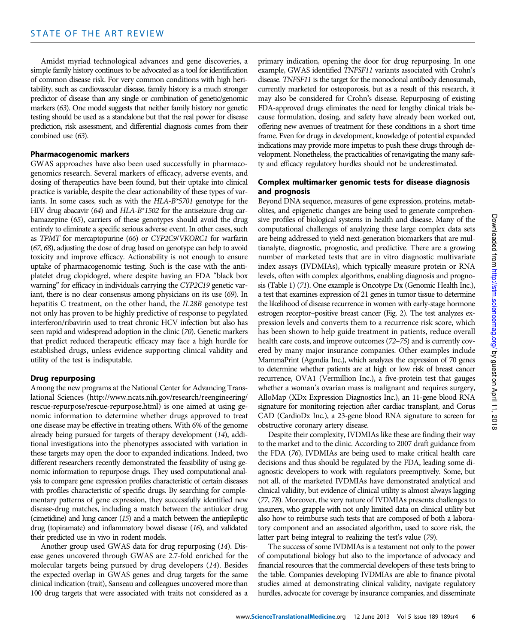Amidst myriad technological advances and gene discoveries, a simple family history continues to be advocated as a tool for identification of common disease risk. For very common conditions with high heritability, such as cardiovascular disease, family history is a much stronger predictor of disease than any single or combination of genetic/genomic markers (63). One model suggests that neither family history nor genetic testing should be used as a standalone but that the real power for disease prediction, risk assessment, and differential diagnosis comes from their combined use (63).

#### Pharmacogenomic markers

GWAS approaches have also been used successfully in pharmacogenomics research. Several markers of efficacy, adverse events, and dosing of therapeutics have been found, but their uptake into clinical practice is variable, despite the clear actionability of these types of variants. In some cases, such as with the HLA-B\*5701 genotype for the HIV drug abacavir (64) and HLA-B\*1502 for the antiseizure drug carbamazepine (65), carriers of these genotypes should avoid the drug entirely to eliminate a specific serious adverse event. In other cases, such as TPMT for mercaptopurine (66) or CYP2C9/VKORC1 for warfarin (67, 68), adjusting the dose of drug based on genotype can help to avoid toxicity and improve efficacy. Actionability is not enough to ensure uptake of pharmacogenomic testing. Such is the case with the antiplatelet drug clopidogrel, where despite having an FDA "black box warning" for efficacy in individuals carrying the CYP2C19 genetic variant, there is no clear consensus among physicians on its use (69). In hepatitis C treatment, on the other hand, the IL28B genotype test not only has proven to be highly predictive of response to pegylated interferon/ribavirin used to treat chronic HCV infection but also has seen rapid and widespread adoption in the clinic (70). Genetic markers that predict reduced therapeutic efficacy may face a high hurdle for established drugs, unless evidence supporting clinical validity and utility of the test is indisputable.

#### Drug repurposing

Among the new programs at the National Center for Advancing Translational Sciences (http://www.ncats.nih.gov/research/reengineering/ rescue-repurpose/rescue-repurpose.html) is one aimed at using genomic information to determine whether drugs approved to treat one disease may be effective in treating others. With 6% of the genome already being pursued for targets of therapy development (14), additional investigations into the phenotypes associated with variation in these targets may open the door to expanded indications. Indeed, two different researchers recently demonstrated the feasibility of using genomic information to repurpose drugs. They used computational analysis to compare gene expression profiles characteristic of certain diseases with profiles characteristic of specific drugs. By searching for complementary patterns of gene expression, they successfully identified new disease-drug matches, including a match between the antiulcer drug (cimetidine) and lung cancer (15) and a match between the antiepileptic drug (topiramate) and inflammatory bowel disease (16), and validated their predicted use in vivo in rodent models.

Another group used GWAS data for drug repurposing (14). Disease genes uncovered through GWAS are 2.7-fold enriched for the molecular targets being pursued by drug developers (14). Besides the expected overlap in GWAS genes and drug targets for the same clinical indication (trait), Sanseau and colleagues uncovered more than 100 drug targets that were associated with traits not considered as a

primary indication, opening the door for drug repurposing. In one example, GWAS identified TNFSF11 variants associated with Crohn's disease. TNFSF11 is the target for the monoclonal antibody denosumab, currently marketed for osteoporosis, but as a result of this research, it may also be considered for Crohn's disease. Repurposing of existing FDA-approved drugs eliminates the need for lengthy clinical trials because formulation, dosing, and safety have already been worked out, offering new avenues of treatment for these conditions in a short time frame. Even for drugs in development, knowledge of potential expanded indications may provide more impetus to push these drugs through development. Nonetheless, the practicalities of renavigating the many safety and efficacy regulatory hurdles should not be underestimated.

#### Complex multimarker genomic tests for disease diagnosis and prognosis

Beyond DNA sequence, measures of gene expression, proteins, metabolites, and epigenetic changes are being used to generate comprehensive profiles of biological systems in health and disease. Many of the computational challenges of analyzing these large complex data sets are being addressed to yield next-generation biomarkers that are multianalyte, diagnostic, prognostic, and predictive. There are a growing number of marketed tests that are in vitro diagnostic multivariate index assays (IVDMIAs), which typically measure protein or RNA levels, often with complex algorithms, enabling diagnosis and prognosis (Table 1) (71). One example is Oncotype Dx (Genomic Health Inc.), a test that examines expression of 21 genes in tumor tissue to determine the likelihood of disease recurrence in women with early-stage hormone estrogen receptor–positive breast cancer (Fig. 2). The test analyzes expression levels and converts them to a recurrence risk score, which has been shown to help guide treatment in patients, reduce overall health care costs, and improve outcomes (72–75) and is currently covered by many major insurance companies. Other examples include MammaPrint (Agendia Inc.), which analyzes the expression of 70 genes to determine whether patients are at high or low risk of breast cancer recurrence, OVA1 (Vermillion Inc.), a five-protein test that gauges whether a woman's ovarian mass is malignant and requires surgery, AlloMap (XDx Expression Diagnostics Inc.), an 11-gene blood RNA signature for monitoring rejection after cardiac transplant, and Corus CAD (CardioDx Inc.), a 23-gene blood RNA signature to screen for obstructive coronary artery disease.

Despite their complexity, IVDMIAs like these are finding their way to the market and to the clinic. According to 2007 draft guidance from the FDA (76), IVDMIAs are being used to make critical health care decisions and thus should be regulated by the FDA, leading some diagnostic developers to work with regulators preemptively. Some, but not all, of the marketed IVDMIAs have demonstrated analytical and clinical validity, but evidence of clinical utility is almost always lagging (77, 78). Moreover, the very nature of IVDMIAs presents challenges to insurers, who grapple with not only limited data on clinical utility but also how to reimburse such tests that are composed of both a laboratory component and an associated algorithm, used to score risk, the latter part being integral to realizing the test's value (79).

The success of some IVDMIAs is a testament not only to the power of computational biology but also to the importance of advocacy and financial resources that the commercial developers of these tests bring to the table. Companies developing IVDMIAs are able to finance pivotal studies aimed at demonstrating clinical validity, navigate regulatory hurdles, advocate for coverage by insurance companies, and disseminate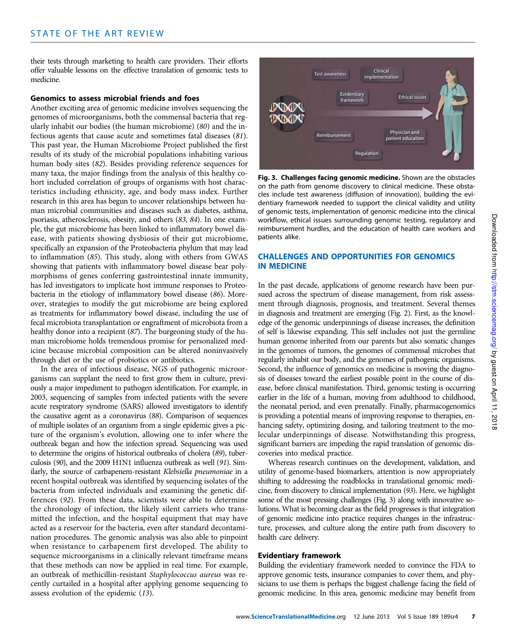their tests through marketing to health care providers. Their efforts offer valuable lessons on the effective translation of genomic tests to medicine.

#### Genomics to assess microbial friends and foes

Another exciting area of genomic medicine involves sequencing the genomes of microorganisms, both the commensal bacteria that regularly inhabit our bodies (the human microbiome) (80) and the infectious agents that cause acute and sometimes fatal diseases (81). This past year, the Human Microbiome Project published the first results of its study of the microbial populations inhabiting various human body sites (82). Besides providing reference sequences for many taxa, the major findings from the analysis of this healthy cohort included correlation of groups of organisms with host characteristics including ethnicity, age, and body mass index. Further research in this area has begun to uncover relationships between human microbial communities and diseases such as diabetes, asthma, psoriasis, atherosclerosis, obesity, and others (83, 84). In one example, the gut microbiome has been linked to inflammatory bowel disease, with patients showing dysbiosis of their gut microbiome, specifically an expansion of the Proteobacteria phylum that may lead to inflammation (85). This study, along with others from GWAS showing that patients with inflammatory bowel disease bear polymorphisms of genes conferring gastrointestinal innate immunity, has led investigators to implicate host immune responses to Proteobacteria in the etiology of inflammatory bowel disease (86). Moreover, strategies to modify the gut microbiome are being explored as treatments for inflammatory bowel disease, including the use of fecal microbiota transplantation or engraftment of microbiota from a healthy donor into a recipient (87). The burgeoning study of the human microbiome holds tremendous promise for personalized medicine because microbial composition can be altered noninvasively through diet or the use of probiotics or antibiotics.

In the area of infectious disease, NGS of pathogenic microorganisms can supplant the need to first grow them in culture, previously a major impediment to pathogen identification. For example, in 2003, sequencing of samples from infected patients with the severe acute respiratory syndrome (SARS) allowed investigators to identify the causative agent as a coronavirus (88). Comparison of sequences of multiple isolates of an organism from a single epidemic gives a picture of the organism's evolution, allowing one to infer where the outbreak began and how the infection spread. Sequencing was used to determine the origins of historical outbreaks of cholera (89), tuberculosis (90), and the 2009 H1N1 influenza outbreak as well (91). Similarly, the source of carbapenem-resistant Klebsiella pneumoniae in a recent hospital outbreak was identified by sequencing isolates of the bacteria from infected individuals and examining the genetic differences (92). From these data, scientists were able to determine the chronology of infection, the likely silent carriers who transmitted the infection, and the hospital equipment that may have acted as a reservoir for the bacteria, even after standard decontamination procedures. The genomic analysis was also able to pinpoint when resistance to carbapenem first developed. The ability to sequence microorganisms in a clinically relevant timeframe means that these methods can now be applied in real time. For example, an outbreak of methicillin-resistant Staphylococcus aureus was recently curtailed in a hospital after applying genome sequencing to assess evolution of the epidemic (13).



Fig. 3. Challenges facing genomic medicine. Shown are the obstacles on the path from genome discovery to clinical medicine. These obstacles include test awareness (diffusion of innovation), building the evidentiary framework needed to support the clinical validity and utility of genomic tests, implementation of genomic medicine into the clinical workflow, ethical issues surrounding genomic testing, regulatory and reimbursement hurdles, and the education of health care workers and patients alike.

## CHALLENGES AND OPPORTUNITIES FOR GENOMICS IN MEDICINE

In the past decade, applications of genome research have been pursued across the spectrum of disease management, from risk assessment through diagnosis, prognosis, and treatment. Several themes in diagnosis and treatment are emerging (Fig. 2). First, as the knowledge of the genomic underpinnings of disease increases, the definition of self is likewise expanding. This self includes not just the germline human genome inherited from our parents but also somatic changes in the genomes of tumors, the genomes of commensal microbes that regularly inhabit our body, and the genomes of pathogenic organisms. Second, the influence of genomics on medicine is moving the diagnosis of diseases toward the earliest possible point in the course of disease, before clinical manifestation. Third, genomic testing is occurring earlier in the life of a human, moving from adulthood to childhood, the neonatal period, and even prenatally. Finally, pharmacogenomics is providing a potential means of improving response to therapies, enhancing safety, optimizing dosing, and tailoring treatment to the molecular underpinnings of disease. Notwithstanding this progress, significant barriers are impeding the rapid translation of genomic discoveries into medical practice.

Whereas research continues on the development, validation, and utility of genome-based biomarkers, attention is now appropriately shifting to addressing the roadblocks in translational genomic medicine, from discovery to clinical implementation (93). Here, we highlight some of the most pressing challenges (Fig. 3) along with innovative solutions. What is becoming clear as the field progresses is that integration of genomic medicine into practice requires changes in the infrastructure, processes, and culture along the entire path from discovery to health care delivery.

#### Evidentiary framework

Building the evidentiary framework needed to convince the FDA to approve genomic tests, insurance companies to cover them, and physicians to use them is perhaps the biggest challenge facing the field of genomic medicine. In this area, genomic medicine may benefit from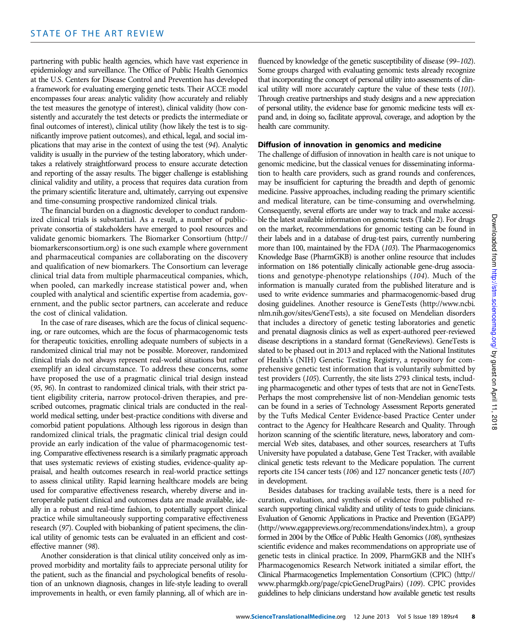partnering with public health agencies, which have vast experience in epidemiology and surveillance. The Office of Public Health Genomics at the U.S. Centers for Disease Control and Prevention has developed a framework for evaluating emerging genetic tests. Their ACCE model encompasses four areas: analytic validity (how accurately and reliably the test measures the genotype of interest), clinical validity (how consistently and accurately the test detects or predicts the intermediate or final outcomes of interest), clinical utility (how likely the test is to significantly improve patient outcomes), and ethical, legal, and social implications that may arise in the context of using the test (94). Analytic validity is usually in the purview of the testing laboratory, which undertakes a relatively straightforward process to ensure accurate detection and reporting of the assay results. The bigger challenge is establishing clinical validity and utility, a process that requires data curation from the primary scientific literature and, ultimately, carrying out expensive and time-consuming prospective randomized clinical trials.

The financial burden on a diagnostic developer to conduct randomized clinical trials is substantial. As a result, a number of publicprivate consortia of stakeholders have emerged to pool resources and validate genomic biomarkers. The Biomarker Consortium (http:// biomarkersconsortium.org) is one such example where government and pharmaceutical companies are collaborating on the discovery and qualification of new biomarkers. The Consortium can leverage clinical trial data from multiple pharmaceutical companies, which, when pooled, can markedly increase statistical power and, when coupled with analytical and scientific expertise from academia, government, and the public sector partners, can accelerate and reduce the cost of clinical validation.

In the case of rare diseases, which are the focus of clinical sequencing, or rare outcomes, which are the focus of pharmacogenomic tests for therapeutic toxicities, enrolling adequate numbers of subjects in a randomized clinical trial may not be possible. Moreover, randomized clinical trials do not always represent real-world situations but rather exemplify an ideal circumstance. To address these concerns, some have proposed the use of a pragmatic clinical trial design instead (95, 96). In contrast to randomized clinical trials, with their strict patient eligibility criteria, narrow protocol-driven therapies, and prescribed outcomes, pragmatic clinical trials are conducted in the realworld medical setting, under best-practice conditions with diverse and comorbid patient populations. Although less rigorous in design than randomized clinical trials, the pragmatic clinical trial design could provide an early indication of the value of pharmacogenomic testing. Comparative effectiveness research is a similarly pragmatic approach that uses systematic reviews of existing studies, evidence-quality appraisal, and health outcomes research in real-world practice settings to assess clinical utility. Rapid learning healthcare models are being used for comparative effectiveness research, whereby diverse and interoperable patient clinical and outcomes data are made available, ideally in a robust and real-time fashion, to potentially support clinical practice while simultaneously supporting comparative effectiveness research (97). Coupled with biobanking of patient specimens, the clinical utility of genomic tests can be evaluated in an efficient and costeffective manner (98).

Another consideration is that clinical utility conceived only as improved morbidity and mortality fails to appreciate personal utility for the patient, such as the financial and psychological benefits of resolution of an unknown diagnosis, changes in life-style leading to overall improvements in health, or even family planning, all of which are influenced by knowledge of the genetic susceptibility of disease (99–102). Some groups charged with evaluating genomic tests already recognize that incorporating the concept of personal utility into assessments of clinical utility will more accurately capture the value of these tests (101). Through creative partnerships and study designs and a new appreciation of personal utility, the evidence base for genomic medicine tests will expand and, in doing so, facilitate approval, coverage, and adoption by the health care community.

#### Diffusion of innovation in genomics and medicine

The challenge of diffusion of innovation in health care is not unique to genomic medicine, but the classical venues for disseminating information to health care providers, such as grand rounds and conferences, may be insufficient for capturing the breadth and depth of genomic medicine. Passive approaches, including reading the primary scientific and medical literature, can be time-consuming and overwhelming. Consequently, several efforts are under way to track and make accessible the latest available information on genomic tests (Table 2). For drugs on the market, recommendations for genomic testing can be found in their labels and in a database of drug-test pairs, currently numbering more than 100, maintained by the FDA (103). The Pharmacogenomics Knowledge Base (PharmGKB) is another online resource that includes information on 186 potentially clinically actionable gene-drug associations and genotype-phenotype relationships (104). Much of the information is manually curated from the published literature and is used to write evidence summaries and pharmacogenomic-based drug dosing guidelines. Another resource is GeneTests (http://www.ncbi. nlm.nih.gov/sites/GeneTests), a site focused on Mendelian disorders that includes a directory of genetic testing laboratories and genetic and prenatal diagnosis clinics as well as expert-authored peer-reviewed disease descriptions in a standard format (GeneReviews). GeneTests is slated to be phased out in 2013 and replaced with the National Institutes of Health's (NIH) Genetic Testing Registry, a repository for comprehensive genetic test information that is voluntarily submitted by test providers (105). Currently, the site lists 2793 clinical tests, including pharmacogenetic and other types of tests that are not in GeneTests. Perhaps the most comprehensive list of non-Mendelian genomic tests can be found in a series of Technology Assessment Reports generated by the Tufts Medical Center Evidence-based Practice Center under contract to the Agency for Healthcare Research and Quality. Through horizon scanning of the scientific literature, news, laboratory and commercial Web sites, databases, and other sources, researchers at Tufts University have populated a database, Gene Test Tracker, with available clinical genetic tests relevant to the Medicare population. The current reports cite 154 cancer tests (106) and 127 noncancer genetic tests (107) in development.

Besides databases for tracking available tests, there is a need for curation, evaluation, and synthesis of evidence from published research supporting clinical validity and utility of tests to guide clinicians. Evaluation of Genomic Applications in Practice and Prevention (EGAPP) (http://www.egappreviews.org/recommendations/index.htm), a group formed in 2004 by the Office of Public Health Genomics (108), synthesizes scientific evidence and makes recommendations on appropriate use of genetic tests in clinical practice. In 2009, PharmGKB and the NIH's Pharmacogenomics Research Network initiated a similar effort, the Clinical Pharmacogenetics Implementation Consortium (CPIC) (http:// www.pharmgkb.org/page/cpicGeneDrugPairs) (109). CPIC provides guidelines to help clinicians understand how available genetic test results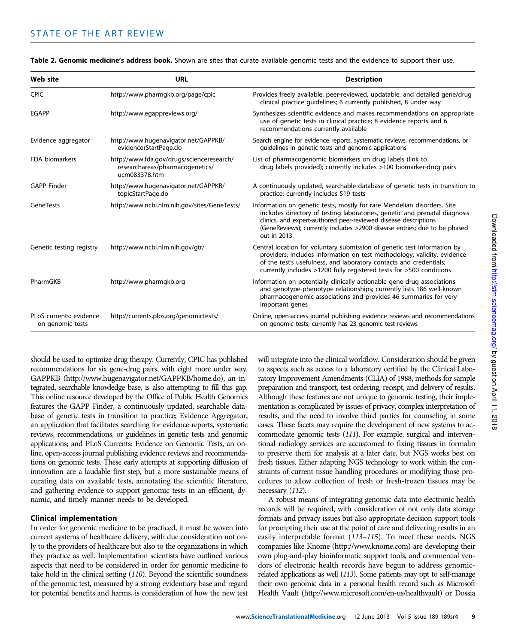| <b>Web site</b>                             | <b>URL</b>                                                                                    | <b>Description</b>                                                                                                                                                                                                                                                                                                   |
|---------------------------------------------|-----------------------------------------------------------------------------------------------|----------------------------------------------------------------------------------------------------------------------------------------------------------------------------------------------------------------------------------------------------------------------------------------------------------------------|
| <b>CPIC</b>                                 | http://www.pharmgkb.org/page/cpic                                                             | Provides freely available, peer-reviewed, updatable, and detailed gene/drug<br>clinical practice quidelines; 6 currently published, 8 under way                                                                                                                                                                      |
| <b>EGAPP</b>                                | http://www.eqappreviews.org/                                                                  | Synthesizes scientific evidence and makes recommendations on appropriate<br>use of genetic tests in clinical practice; 8 evidence reports and 6<br>recommendations currently available                                                                                                                               |
| Evidence aggregator                         | http://www.hugenavigator.net/GAPPKB/<br>evidencerStartPage.do                                 | Search engine for evidence reports, systematic reviews, recommendations, or<br>quidelines in genetic tests and genomic applications                                                                                                                                                                                  |
| FDA biomarkers                              | http://www.fda.gov/drugs/scienceresearch/<br>researchareas/pharmacogenetics/<br>ucm083378.htm | List of pharmacogenomic biomarkers on drug labels (link to<br>drug labels provided); currently includes >100 biomarker-drug pairs                                                                                                                                                                                    |
| <b>GAPP Finder</b>                          | http://www.hugenavigator.net/GAPPKB/<br>topicStartPage.do                                     | A continuously updated, searchable database of genetic tests in transition to<br>practice; currently includes 519 tests                                                                                                                                                                                              |
| GeneTests                                   | http://www.ncbi.nlm.nih.gov/sites/GeneTests/                                                  | Information on genetic tests, mostly for rare Mendelian disorders. Site<br>includes directory of testing laboratories, genetic and prenatal diagnosis<br>clinics, and expert-authored peer-reviewed disease descriptions<br>(GeneReviews); currently includes >2900 disease entries; due to be phased<br>out in 2013 |
| Genetic testing registry                    | http://www.ncbi.nlm.nih.gov/gtr/                                                              | Central location for voluntary submission of genetic test information by<br>providers; includes information on test methodology, validity, evidence<br>of the test's usefulness, and laboratory contacts and credentials;<br>currently includes >1200 fully registered tests for >500 conditions                     |
| PharmGKB                                    | http://www.pharmqkb.org                                                                       | Information on potentially clinically actionable gene-drug associations<br>and genotype-phenotype relationships; currently lists 186 well-known<br>pharmacogenomic associations and provides 46 summaries for very<br>important genes                                                                                |
| PLoS currents: evidence<br>on genomic tests | http://currents.plos.org/genomictests/                                                        | Online, open-access journal publishing evidence reviews and recommendations<br>on genomic tests; currently has 23 genomic test reviews                                                                                                                                                                               |

Table 2. Genomic medicine's address book. Shown are sites that curate available genomic tests and the evidence to support their use.

should be used to optimize drug therapy. Currently, CPIC has published recommendations for six gene-drug pairs, with eight more under way. GAPPKB (http://www.hugenavigator.net/GAPPKB/home.do), an integrated, searchable knowledge base, is also attempting to fill this gap. This online resource developed by the Office of Public Health Genomics features the GAPP Finder, a continuously updated, searchable database of genetic tests in transition to practice; Evidence Aggregator, an application that facilitates searching for evidence reports, systematic reviews, recommendations, or guidelines in genetic tests and genomic applications; and PLoS Currents: Evidence on Genomic Tests, an online, open-access journal publishing evidence reviews and recommendations on genomic tests. These early attempts at supporting diffusion of innovation are a laudable first step, but a more sustainable means of curating data on available tests, annotating the scientific literature, and gathering evidence to support genomic tests in an efficient, dynamic, and timely manner needs to be developed.

# Clinical implementation

In order for genomic medicine to be practiced, it must be woven into current systems of healthcare delivery, with due consideration not only to the providers of healthcare but also to the organizations in which they practice as well. Implementation scientists have outlined various aspects that need to be considered in order for genomic medicine to take hold in the clinical setting (110). Beyond the scientific soundness of the genomic test, measured by a strong evidentiary base and regard for potential benefits and harms, is consideration of how the new test will integrate into the clinical workflow. Consideration should be given to aspects such as access to a laboratory certified by the Clinical Laboratory Improvement Amendments (CLIA) of 1988, methods for sample preparation and transport, test ordering, receipt, and delivery of results. Although these features are not unique to genomic testing, their implementation is complicated by issues of privacy, complex interpretation of results, and the need to involve third parties for counseling in some cases. These facets may require the development of new systems to accommodate genomic tests (111). For example, surgical and interventional radiology services are accustomed to fixing tissues in formalin to preserve them for analysis at a later date, but NGS works best on fresh tissues. Either adapting NGS technology to work within the constraints of current tissue handling procedures or modifying those procedures to allow collection of fresh or fresh-frozen tissues may be necessary (112).

A robust means of integrating genomic data into electronic health records will be required, with consideration of not only data storage formats and privacy issues but also appropriate decision support tools for prompting their use at the point of care and delivering results in an easily interpretable format (113–115). To meet these needs, NGS companies like Knome (http://www.knome.com) are developing their own plug-and-play bioinformatic support tools, and commercial vendors of electronic health records have begun to address genomicrelated applications as well (113). Some patients may opt to self-manage their own genomic data in a personal health record such as Microsoft Health Vault (http://www.microsoft.com/en-us/healthvault) or Dossia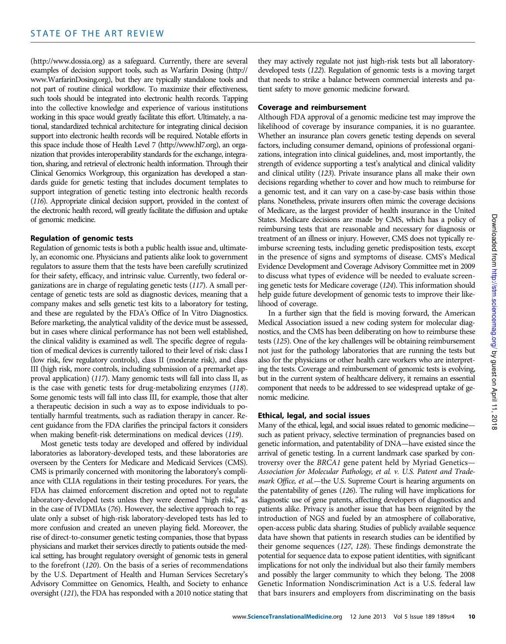(http://www.dossia.org) as a safeguard. Currently, there are several examples of decision support tools, such as Warfarin Dosing (http:// www.WarfarinDosing.org), but they are typically standalone tools and not part of routine clinical workflow. To maximize their effectiveness, such tools should be integrated into electronic health records. Tapping into the collective knowledge and experience of various institutions working in this space would greatly facilitate this effort. Ultimately, a national, standardized technical architecture for integrating clinical decision support into electronic health records will be required. Notable efforts in this space include those of Health Level 7 (http://www.hl7.org), an organization that provides interoperability standards for the exchange, integration, sharing, and retrieval of electronic health information. Through their Clinical Genomics Workgroup, this organization has developed a standards guide for genetic testing that includes document templates to support integration of genetic testing into electronic health records (116). Appropriate clinical decision support, provided in the context of the electronic health record, will greatly facilitate the diffusion and uptake of genomic medicine.

#### Regulation of genomic tests

Regulation of genomic tests is both a public health issue and, ultimately, an economic one. Physicians and patients alike look to government regulators to assure them that the tests have been carefully scrutinized for their safety, efficacy, and intrinsic value. Currently, two federal organizations are in charge of regulating genetic tests (117). A small percentage of genetic tests are sold as diagnostic devices, meaning that a company makes and sells genetic test kits to a laboratory for testing, and these are regulated by the FDA's Office of In Vitro Diagnostics. Before marketing, the analytical validity of the device must be assessed, but in cases where clinical performance has not been well established, the clinical validity is examined as well. The specific degree of regulation of medical devices is currently tailored to their level of risk: class I (low risk, few regulatory controls), class II (moderate risk), and class III (high risk, more controls, including submission of a premarket approval application) (117). Many genomic tests will fall into class II, as is the case with genetic tests for drug-metabolizing enzymes (118). Some genomic tests will fall into class III, for example, those that alter a therapeutic decision in such a way as to expose individuals to potentially harmful treatments, such as radiation therapy in cancer. Recent guidance from the FDA clarifies the principal factors it considers when making benefit-risk determinations on medical devices (119).

Most genetic tests today are developed and offered by individual laboratories as laboratory-developed tests, and these laboratories are overseen by the Centers for Medicare and Medicaid Services (CMS). CMS is primarily concerned with monitoring the laboratory's compliance with CLIA regulations in their testing procedures. For years, the FDA has claimed enforcement discretion and opted not to regulate laboratory-developed tests unless they were deemed "high risk," as in the case of IVDMIAs (76). However, the selective approach to regulate only a subset of high-risk laboratory-developed tests has led to more confusion and created an uneven playing field. Moreover, the rise of direct-to-consumer genetic testing companies, those that bypass physicians and market their services directly to patients outside the medical setting, has brought regulatory oversight of genomic tests in general to the forefront (120). On the basis of a series of recommendations by the U.S. Department of Health and Human Services Secretary's Advisory Committee on Genomics, Health, and Society to enhance oversight (121), the FDA has responded with a 2010 notice stating that

they may actively regulate not just high-risk tests but all laboratorydeveloped tests (122). Regulation of genomic tests is a moving target that needs to strike a balance between commercial interests and patient safety to move genomic medicine forward.

#### Coverage and reimbursement

Although FDA approval of a genomic medicine test may improve the likelihood of coverage by insurance companies, it is no guarantee. Whether an insurance plan covers genetic testing depends on several factors, including consumer demand, opinions of professional organizations, integration into clinical guidelines, and, most importantly, the strength of evidence supporting a test's analytical and clinical validity and clinical utility (123). Private insurance plans all make their own decisions regarding whether to cover and how much to reimburse for a genomic test, and it can vary on a case-by-case basis within those plans. Nonetheless, private insurers often mimic the coverage decisions of Medicare, as the largest provider of health insurance in the United States. Medicare decisions are made by CMS, which has a policy of reimbursing tests that are reasonable and necessary for diagnosis or treatment of an illness or injury. However, CMS does not typically reimburse screening tests, including genetic predisposition tests, except in the presence of signs and symptoms of disease. CMS's Medical Evidence Development and Coverage Advisory Committee met in 2009 to discuss what types of evidence will be needed to evaluate screening genetic tests for Medicare coverage (124). This information should help guide future development of genomic tests to improve their likelihood of coverage.

In a further sign that the field is moving forward, the American Medical Association issued a new coding system for molecular diagnostics, and the CMS has been deliberating on how to reimburse these tests (125). One of the key challenges will be obtaining reimbursement not just for the pathology laboratories that are running the tests but also for the physicians or other health care workers who are interpreting the tests. Coverage and reimbursement of genomic tests is evolving, but in the current system of healthcare delivery, it remains an essential component that needs to be addressed to see widespread uptake of genomic medicine.

# Ethical, legal, and social issues

Many of the ethical, legal, and social issues related to genomic medicine such as patient privacy, selective termination of pregnancies based on genetic information, and patentability of DNA—have existed since the arrival of genetic testing. In a current landmark case sparked by controversy over the BRCA1 gene patent held by Myriad Genetics— Association for Molecular Pathology, et al. v. U.S. Patent and Trademark Office, et al.—the U.S. Supreme Court is hearing arguments on the patentability of genes (126). The ruling will have implications for diagnostic use of gene patents, affecting developers of diagnostics and patients alike. Privacy is another issue that has been reignited by the introduction of NGS and fueled by an atmosphere of collaborative, open-access public data sharing. Studies of publicly available sequence data have shown that patients in research studies can be identified by their genome sequences (127, 128). These findings demonstrate the potential for sequence data to expose patient identities, with significant implications for not only the individual but also their family members and possibly the larger community to which they belong. The 2008 Genetic Information Nondiscrimination Act is a U.S. federal law that bars insurers and employers from discriminating on the basis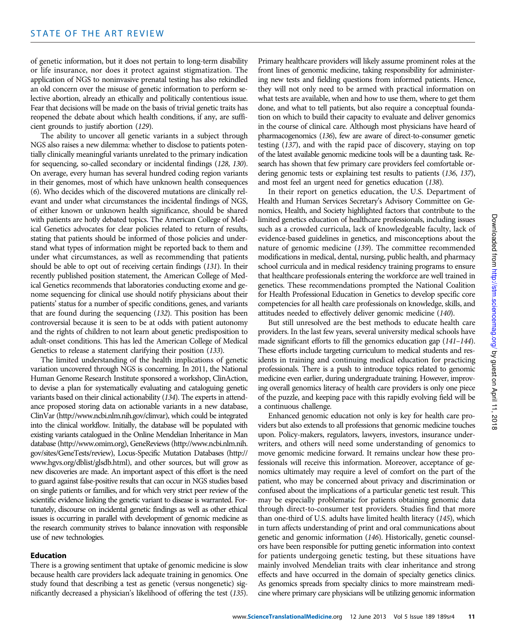of genetic information, but it does not pertain to long-term disability or life insurance, nor does it protect against stigmatization. The application of NGS to noninvasive prenatal testing has also rekindled an old concern over the misuse of genetic information to perform selective abortion, already an ethically and politically contentious issue. Fear that decisions will be made on the basis of trivial genetic traits has reopened the debate about which health conditions, if any, are sufficient grounds to justify abortion (129).

The ability to uncover all genetic variants in a subject through NGS also raises a new dilemma: whether to disclose to patients potentially clinically meaningful variants unrelated to the primary indication for sequencing, so-called secondary or incidental findings (128, 130). On average, every human has several hundred coding region variants in their genomes, most of which have unknown health consequences (6). Who decides which of the discovered mutations are clinically relevant and under what circumstances the incidental findings of NGS, of either known or unknown health significance, should be shared with patients are hotly debated topics. The American College of Medical Genetics advocates for clear policies related to return of results, stating that patients should be informed of those policies and understand what types of information might be reported back to them and under what circumstances, as well as recommending that patients should be able to opt out of receiving certain findings (131). In their recently published position statement, the American College of Medical Genetics recommends that laboratories conducting exome and genome sequencing for clinical use should notify physicians about their patients' status for a number of specific conditions, genes, and variants that are found during the sequencing (132). This position has been controversial because it is seen to be at odds with patient autonomy and the rights of children to not learn about genetic predisposition to adult-onset conditions. This has led the American College of Medical Genetics to release a statement clarifying their position (133).

The limited understanding of the health implications of genetic variation uncovered through NGS is concerning. In 2011, the National Human Genome Research Institute sponsored a workshop, ClinAction, to devise a plan for systematically evaluating and cataloguing genetic variants based on their clinical actionability (134). The experts in attendance proposed storing data on actionable variants in a new database, ClinVar (http://www.ncbi.nlm.nih.gov/clinvar), which could be integrated into the clinical workflow. Initially, the database will be populated with existing variants catalogued in the Online Mendelian Inheritance in Man database (http://www.omim.org), GeneReviews (http://www.ncbi.nlm.nih. gov/sites/GeneTests/review), Locus-Specific Mutation Databases (http:// www.hgvs.org/dblist/glsdb.html), and other sources, but will grow as new discoveries are made. An important aspect of this effort is the need to guard against false-positive results that can occur in NGS studies based on single patients or families, and for which very strict peer review of the scientific evidence linking the genetic variant to disease is warranted. Fortunately, discourse on incidental genetic findings as well as other ethical issues is occurring in parallel with development of genomic medicine as the research community strives to balance innovation with responsible use of new technologies.

#### Education

There is a growing sentiment that uptake of genomic medicine is slow because health care providers lack adequate training in genomics. One study found that describing a test as genetic (versus nongenetic) significantly decreased a physician's likelihood of offering the test (135).

Primary healthcare providers will likely assume prominent roles at the front lines of genomic medicine, taking responsibility for administering new tests and fielding questions from informed patients. Hence, they will not only need to be armed with practical information on what tests are available, when and how to use them, where to get them done, and what to tell patients, but also require a conceptual foundation on which to build their capacity to evaluate and deliver genomics in the course of clinical care. Although most physicians have heard of pharmacogenomics (136), few are aware of direct-to-consumer genetic testing (137), and with the rapid pace of discovery, staying on top of the latest available genomic medicine tools will be a daunting task. Research has shown that few primary care providers feel comfortable ordering genomic tests or explaining test results to patients (136, 137), and most feel an urgent need for genetics education (138).

In their report on genetics education, the U.S. Department of Health and Human Services Secretary's Advisory Committee on Genomics, Health, and Society highlighted factors that contribute to the limited genetics education of healthcare professionals, including issues such as a crowded curricula, lack of knowledgeable faculty, lack of evidence-based guidelines in genetics, and misconceptions about the nature of genomic medicine (139). The committee recommended modifications in medical, dental, nursing, public health, and pharmacy school curricula and in medical residency training programs to ensure that healthcare professionals entering the workforce are well trained in genetics. These recommendations prompted the National Coalition for Health Professional Education in Genetics to develop specific core competencies for all health care professionals on knowledge, skills, and attitudes needed to effectively deliver genomic medicine (140).

But still unresolved are the best methods to educate health care providers. In the last few years, several university medical schools have made significant efforts to fill the genomics education gap (141–144). These efforts include targeting curriculum to medical students and residents in training and continuing medical education for practicing professionals. There is a push to introduce topics related to genomic medicine even earlier, during undergraduate training. However, improving overall genomics literacy of health care providers is only one piece of the puzzle, and keeping pace with this rapidly evolving field will be a continuous challenge.

Enhanced genomic education not only is key for health care providers but also extends to all professions that genomic medicine touches upon. Policy-makers, regulators, lawyers, investors, insurance underwriters, and others will need some understanding of genomics to move genomic medicine forward. It remains unclear how these professionals will receive this information. Moreover, acceptance of genomics ultimately may require a level of comfort on the part of the patient, who may be concerned about privacy and discrimination or confused about the implications of a particular genetic test result. This may be especially problematic for patients obtaining genomic data through direct-to-consumer test providers. Studies find that more than one-third of U.S. adults have limited health literacy (145), which in turn affects understanding of print and oral communications about genetic and genomic information (146). Historically, genetic counselors have been responsible for putting genetic information into context for patients undergoing genetic testing, but these situations have mainly involved Mendelian traits with clear inheritance and strong effects and have occurred in the domain of specialty genetics clinics. As genomics spreads from specialty clinics to more mainstream medicine where primary care physicians will be utilizing genomic information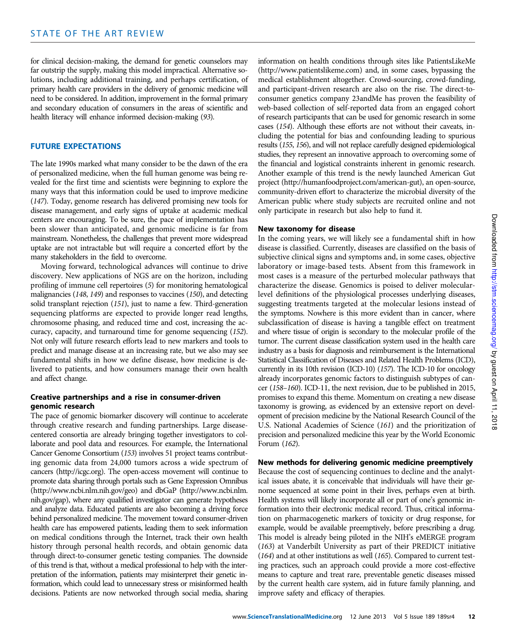for clinical decision-making, the demand for genetic counselors may far outstrip the supply, making this model impractical. Alternative solutions, including additional training, and perhaps certification, of primary health care providers in the delivery of genomic medicine will need to be considered. In addition, improvement in the formal primary and secondary education of consumers in the areas of scientific and health literacy will enhance informed decision-making (93).

#### FUTURE EXPECTATIONS

The late 1990s marked what many consider to be the dawn of the era of personalized medicine, when the full human genome was being revealed for the first time and scientists were beginning to explore the many ways that this information could be used to improve medicine (147). Today, genome research has delivered promising new tools for disease management, and early signs of uptake at academic medical centers are encouraging. To be sure, the pace of implementation has been slower than anticipated, and genomic medicine is far from mainstream. Nonetheless, the challenges that prevent more widespread uptake are not intractable but will require a concerted effort by the many stakeholders in the field to overcome.

Moving forward, technological advances will continue to drive discovery. New applications of NGS are on the horizon, including profiling of immune cell repertoires (5) for monitoring hematological malignancies (148, 149) and responses to vaccines (150), and detecting solid transplant rejection (151), just to name a few. Third-generation sequencing platforms are expected to provide longer read lengths, chromosome phasing, and reduced time and cost, increasing the accuracy, capacity, and turnaround time for genome sequencing (152). Not only will future research efforts lead to new markers and tools to predict and manage disease at an increasing rate, but we also may see fundamental shifts in how we define disease, how medicine is delivered to patients, and how consumers manage their own health and affect change.

#### Creative partnerships and a rise in consumer-driven genomic research

The pace of genomic biomarker discovery will continue to accelerate through creative research and funding partnerships. Large diseasecentered consortia are already bringing together investigators to collaborate and pool data and resources. For example, the International Cancer Genome Consortium (153) involves 51 project teams contributing genomic data from 24,000 tumors across a wide spectrum of cancers (http://icgc.org). The open-access movement will continue to promote data sharing through portals such as Gene Expression Omnibus (http://www.ncbi.nlm.nih.gov/geo) and dbGaP (http://www.ncbi.nlm. nih.gov/gap), where any qualified investigator can generate hypotheses and analyze data. Educated patients are also becoming a driving force behind personalized medicine. The movement toward consumer-driven health care has empowered patients, leading them to seek information on medical conditions through the Internet, track their own health history through personal health records, and obtain genomic data through direct-to-consumer genetic testing companies. The downside of this trend is that, without a medical professional to help with the interpretation of the information, patients may misinterpret their genetic information, which could lead to unnecessary stress or misinformed health decisions. Patients are now networked through social media, sharing

information on health conditions through sites like PatientsLikeMe (http://www.patientslikeme.com) and, in some cases, bypassing the medical establishment altogether. Crowd-sourcing, crowd-funding, and participant-driven research are also on the rise. The direct-toconsumer genetics company 23andMe has proven the feasibility of web-based collection of self-reported data from an engaged cohort of research participants that can be used for genomic research in some cases (154). Although these efforts are not without their caveats, including the potential for bias and confounding leading to spurious results (155, 156), and will not replace carefully designed epidemiological studies, they represent an innovative approach to overcoming some of the financial and logistical constraints inherent in genomic research. Another example of this trend is the newly launched American Gut project (http://humanfoodproject.com/american-gut), an open-source, community-driven effort to characterize the microbial diversity of the American public where study subjects are recruited online and not only participate in research but also help to fund it.

#### New taxonomy for disease

In the coming years, we will likely see a fundamental shift in how disease is classified. Currently, diseases are classified on the basis of subjective clinical signs and symptoms and, in some cases, objective laboratory or image-based tests. Absent from this framework in most cases is a measure of the perturbed molecular pathways that characterize the disease. Genomics is poised to deliver molecularlevel definitions of the physiological processes underlying diseases, suggesting treatments targeted at the molecular lesions instead of the symptoms. Nowhere is this more evident than in cancer, where subclassification of disease is having a tangible effect on treatment and where tissue of origin is secondary to the molecular profile of the tumor. The current disease classification system used in the health care industry as a basis for diagnosis and reimbursement is the International Statistical Classification of Diseases and Related Health Problems (ICD), currently in its 10th revision (ICD-10) (157). The ICD-10 for oncology already incorporates genomic factors to distinguish subtypes of cancer (158–160). ICD-11, the next revision, due to be published in 2015, promises to expand this theme. Momentum on creating a new disease taxonomy is growing, as evidenced by an extensive report on development of precision medicine by the National Research Council of the U.S. National Academies of Science (161) and the prioritization of precision and personalized medicine this year by the World Economic Forum (162).

#### New methods for delivering genomic medicine preemptively

Because the cost of sequencing continues to decline and the analytical issues abate, it is conceivable that individuals will have their genome sequenced at some point in their lives, perhaps even at birth. Health systems will likely incorporate all or part of one's genomic information into their electronic medical record. Thus, critical information on pharmacogenetic markers of toxicity or drug response, for example, would be available preemptively, before prescribing a drug. This model is already being piloted in the NIH's eMERGE program (163) at Vanderbilt University as part of their PREDICT initiative (164) and at other institutions as well (165). Compared to current testing practices, such an approach could provide a more cost-effective means to capture and treat rare, preventable genetic diseases missed by the current health care system, aid in future family planning, and improve safety and efficacy of therapies.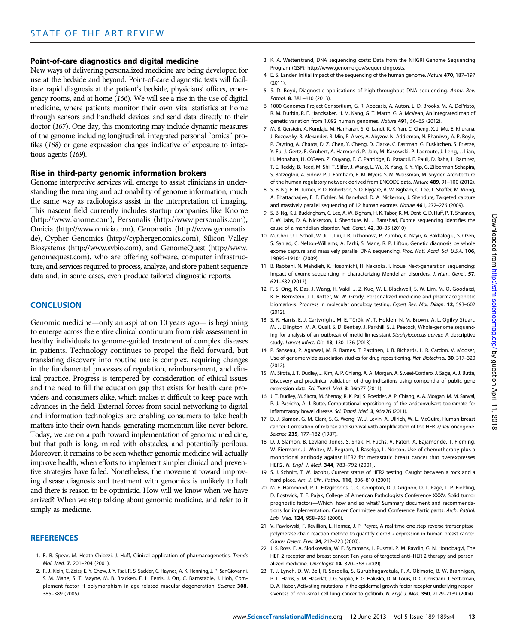#### Point-of-care diagnostics and digital medicine

New ways of delivering personalized medicine are being developed for use at the bedside and beyond. Point-of-care diagnostic tests will facilitate rapid diagnosis at the patient's bedside, physicians' offices, emergency rooms, and at home (166). We will see a rise in the use of digital medicine, where patients monitor their own vital statistics at home through sensors and handheld devices and send data directly to their doctor (167). One day, this monitoring may include dynamic measures of the genome including longitudinal, integrated personal "omics" profiles (168) or gene expression changes indicative of exposure to infectious agents (169).

#### Rise in third-party genomic information brokers

Genome interpretive services will emerge to assist clinicians in understanding the meaning and actionability of genome information, much the same way as radiologists assist in the interpretation of imaging. This nascent field currently includes startup companies like Knome (http://www.knome.com), Personalis (http://www.personalis.com), Omicia (http://www.omicia.com), Genomatix (http://www.genomatix. de), Cypher Genomics (http://cyphergenomics.com), Silicon Valley Biosystems (http://www.svbio.com), and GenomeQuest (http://www. genomequest.com), who are offering software, computer infrastructure, and services required to process, analyze, and store patient sequence data and, in some cases, even produce tailored diagnostic reports.

#### **CONCLUSION**

Genomic medicine—only an aspiration 10 years ago— is beginning to emerge across the entire clinical continuum from risk assessment in healthy individuals to genome-guided treatment of complex diseases in patients. Technology continues to propel the field forward, but translating discovery into routine use is complex, requiring changes in the fundamental processes of regulation, reimbursement, and clinical practice. Progress is tempered by consideration of ethical issues and the need to fill the education gap that exists for health care providers and consumers alike, which makes it difficult to keep pace with advances in the field. External forces from social networking to digital and information technologies are enabling consumers to take health matters into their own hands, generating momentum like never before. Today, we are on a path toward implementation of genomic medicine, but that path is long, mired with obstacles, and potentially perilous. Moreover, it remains to be seen whether genomic medicine will actually improve health, when efforts to implement simpler clinical and preventive strategies have failed. Nonetheless, the movement toward improving disease diagnosis and treatment with genomics is unlikely to halt and there is reason to be optimistic. How will we know when we have arrived? When we stop talking about genomic medicine, and refer to it simply as medicine.

#### **REFERENCES**

- 1. B. B. Spear, M. Heath-Chiozzi, J. Huff, Clinical application of pharmacogenetics. *Trends Mol. Med.* 7, 201–204 (2001).
- 2. R. J. Klein, C. Zeiss, E. Y. Chew, J. Y. Tsai, R. S. Sackler, C. Haynes, A. K. Henning, J. P. SanGiovanni, S. M. Mane, S. T. Mayne, M. B. Bracken, F. L. Ferris, J. Ott, C. Barnstable, J. Hoh, Complement factor H polymorphism in age-related macular degeneration. *Science* 308, 385–389 (2005).
- 3. K. A. Wetterstrand, DNA sequencing costs: Data from the NHGRI Genome Sequencing Program (GSP); http://www.genome.gov/sequencingcosts.
- 4. E. S. Lander, Initial impact of the sequencing of the human genome. *Nature* 470, 187–197 (2011).
- 5. S. D. Boyd, Diagnostic applications of high-throughput DNA sequencing. *Annu. Rev. Pathol.* 8, 381–410 (2013).
- 6. 1000 Genomes Project Consortium, G. R. Abecasis, A. Auton, L. D. Brooks, M. A. DePristo, R. M. Durbin, R. E. Handsaker, H. M. Kang, G. T. Marth, G. A. McVean, An integrated map of genetic variation from 1,092 human genomes. *Nature* 491, 56–65 (2012).
- 7. M. B. Gerstein, A. Kundaje, M. Hariharan, S. G. Landt, K. K. Yan, C. Cheng, X. J. Mu, E. Khurana, J. Rozowsky, R. Alexander, R. Min, P. Alves, A. Abyzov, N. Addleman, N. Bhardwaj, A. P. Boyle, P. Cayting, A. Charos, D. Z. Chen, Y. Cheng, D. Clarke, C. Eastman, G. Euskirchen, S. Frietze, Y. Fu, J. Gertz, F. Grubert, A. Harmanci, P. Jain, M. Kasowski, P. Lacroute, J. Leng, J. Lian, H. Monahan, H. O'Geen, Z. Ouyang, E. C. Partridge, D. Patacsil, F. Pauli, D. Raha, L. Ramirez, T. E. Reddy, B. Reed, M. Shi, T. Slifer, J. Wang, L. Wu, X. Yang, K. Y. Yip, G. Zilberman-Schapira, S. Batzoglou, A. Sidow, P. J. Farnham, R. M. Myers, S. M. Weissman, M. Snyder, Architecture of the human regulatory network derived from ENCODE data. *Nature* 489, 91–100 (2012).
- 8. S. B. Ng, E. H. Turner, P. D. Robertson, S. D. Flygare, A. W. Bigham, C. Lee, T. Shaffer, M. Wong, A. Bhattacharjee, E. E. Eichler, M. Bamshad, D. A. Nickerson, J. Shendure, Targeted capture and massively parallel sequencing of 12 human exomes. *Nature* 461, 272–276 (2009).
- 9. S. B. Ng, K. J. Buckingham, C. Lee, A. W. Bigham, H. K. Tabor, K. M. Dent, C. D. Huff, P. T. Shannon, E. W. Jabs, D. A. Nickerson, J. Shendure, M. J. Bamshad, Exome sequencing identifies the cause of a mendelian disorder. *Nat. Genet.* 42, 30–35 (2010).
- 10. M. Choi, U. I. Scholl, W. Ji, T. Liu, I. R. Tikhonova, P. Zumbo, A. Nayir, A. Bakkaloğlu, S. Ozen, S. Sanjad, C. Nelson-Williams, A. Farhi, S. Mane, R. P. Lifton, Genetic diagnosis by whole exome capture and massively parallel DNA sequencing. *Proc. Natl. Acad. Sci. U.S.A.* 106, 19096–19101 (2009).
- 11. B. Rabbani, N. Mahdieh, K. Hosomichi, H. Nakaoka, I. Inoue, Next-generation sequencing: Impact of exome sequencing in characterizing Mendelian disorders. *J. Hum. Genet.* 57, 621–632 (2012).
- 12. F. S. Ong, K. Das, J. Wang, H. Vakil, J. Z. Kuo, W. L. Blackwell, S. W. Lim, M. O. Goodarzi, K. E. Bernstein, J. I. Rotter, W. W. Grody, Personalized medicine and pharmacogenetic biomarkers: Progress in molecular oncology testing. *Expert Rev. Mol. Diagn.* 12, 593–602 (2012).
- 13. S. R. Harris, E. J. Cartwright, M. E. Török, M. T. Holden, N. M. Brown, A. L. Ogilvy-Stuart, M. J. Ellington, M. A. Quail, S. D. Bentley, J. Parkhill, S. J. Peacock, Whole-genome sequencing for analysis of an outbreak of meticillin-resistant *Staphylococcus aureus*: A descriptive study. *Lancet Infect. Dis.* 13, 130–136 (2013).
- 14. P. Sanseau, P. Agarwal, M. R. Barnes, T. Pastinen, J. B. Richards, L. R. Cardon, V. Mooser, Use of genome-wide association studies for drug repositioning. *Nat. Biotechnol.* 30, 317–320 (2012).
- 15. M. Sirota, J. T. Dudley, J. Kim, A. P. Chiang, A. A. Morgan, A. Sweet-Cordero, J. Sage, A. J. Butte, Discovery and preclinical validation of drug indications using compendia of public gene expression data. *Sci. Transl. Med.* 3, 96ra77 (2011).
- 16. J. T. Dudley, M. Sirota, M. Shenoy, R. K. Pai, S. Roedder, A. P. Chiang, A. A. Morgan, M. M. Sarwal, P. J. Pasricha, A. J. Butte, Computational repositioning of the anticonvulsant topiramate for inflammatory bowel disease. *Sci. Transl. Med.* 3, 96ra76 (2011).
- 17. D. J. Slamon, G. M. Clark, S. G. Wong, W. J. Levin, A. Ullrich, W. L. McGuire, Human breast cancer: Correlation of relapse and survival with amplification of the HER-2/*neu* oncogene. *Science* 235, 177–182 (1987).
- 18. D. J. Slamon, B. Leyland-Jones, S. Shak, H. Fuchs, V. Paton, A. Bajamonde, T. Fleming, W. Eiermann, J. Wolter, M. Pegram, J. Baselga, L. Norton, Use of chemotherapy plus a monoclonal antibody against HER2 for metastatic breast cancer that overexpresses HER2. *N. Engl. J. Med.* 344, 783–792 (2001).
- 19. S. J. Schnitt, T. W. Jacobs, Current status of HER2 testing: Caught between a rock and a hard place. *Am. J. Clin. Pathol.* 116, 806–810 (2001).
- 20. M. E. Hammond, P. L. Fitzgibbons, C. C. Compton, D. J. Grignon, D. L. Page, L. P. Fielding, D. Bostwick, T. F. Pajak, College of American Pathologists Conference XXXV: Solid tumor prognostic factors—Which, how and so what? Summary document and recommendations for implementation. Cancer Committee and Conference Participants. *Arch. Pathol. Lab. Med.* 124, 958–965 (2000).
- 21. V. Pawlowski, F. Révillion, L. Hornez, J. P. Peyrat, A real-time one-step reverse transcriptasepolymerase chain reaction method to quantify c-erbB-2 expression in human breast cancer. *Cancer Detect. Prev.* 24, 212–223 (2000).
- 22. J. S. Ross, E. A. Slodkowska, W. F. Symmans, L. Pusztai, P. M. Ravdin, G. N. Hortobagyi, The HER-2 receptor and breast cancer: Ten years of targeted anti–HER-2 therapy and personalized medicine. *Oncologist* 14, 320–368 (2009).
- 23. T. J. Lynch, D. W. Bell, R. Sordella, S. Gurubhagavatula, R. A. Okimoto, B. W. Brannigan, P. L. Harris, S. M. Haserlat, J. G. Supko, F. G. Haluska, D. N. Louis, D. C. Christiani, J. Settleman, D. A. Haber, Activating mutations in the epidermal growth factor receptor underlying responsiveness of non–small-cell lung cancer to gefitinib. *N. Engl. J. Med.* 350, 2129–2139 (2004).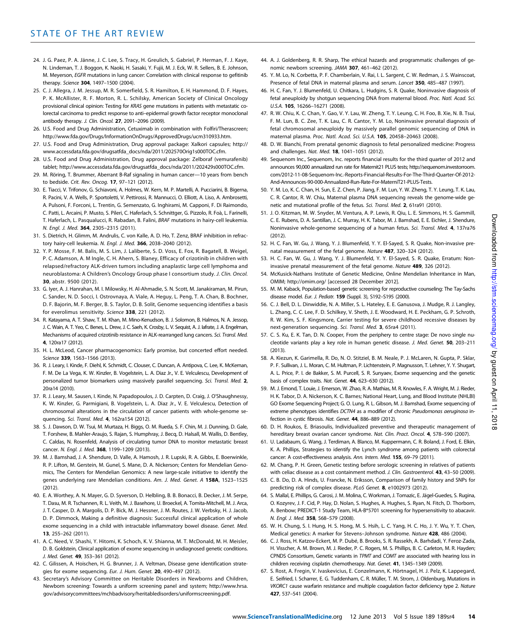- 24. J. G. Paez, P. A. Jänne, J. C. Lee, S. Tracy, H. Greulich, S. Gabriel, P. Herman, F. J. Kaye, N. Lindeman, T. J. Boggon, K. Naoki, H. Sasaki, Y. Fujii, M. J. Eck, W. R. Sellers, B. E. Johnson, M. Meyerson, *EGFR* mutations in lung cancer: Correlation with clinical response to gefitinib therapy. *Science* 304, 1497–1500 (2004).
- 25. C. J. Allegra, J. M. Jessup, M. R. Somerfield, S. R. Hamilton, E. H. Hammond, D. F. Hayes, P. K. McAllister, R. F. Morton, R. L. Schilsky, American Society of Clinical Oncology provisional clinical opinion: Testing for *KRAS* gene mutations in patients with metastatic colorectal carcinoma to predict response to anti–epidermal growth factor receptor monoclonal antibody therapy. *J. Clin. Oncol.* 27, 2091–2096 (2009).
- 26. U.S. Food and Drug Administration, Cetuximab in combination with Folfiri/Therascreen; http://www.fda.gov/Drugs/InformationOnDrugs/ApprovedDrugs/ucm310933.htm.
- 27. U.S. Food and Drug Administration, Drug approval package: Xalkori capsules; http:// www.accessdata.fda.gov/drugsatfda\_docs/nda/2011/202570Orig1s000TOC.cfm.
- 28. U.S. Food and Drug Administration, Drug approval package: Zelboraf (vemurafenib) tablet; http://www.accessdata.fda.gov/drugsatfda\_docs/nda/2011/202429s000TOC.cfm.
- 29. M. Röring, T. Brummer, Aberrant B-Raf signaling in human cancer—10 years from bench to bedside. *Crit. Rev. Oncog.* 17, 97–121 (2012).
- 30. E. Tiacci, V. Trifonov, G. Schiavoni, A. Holmes, W. Kern, M. P. Martelli, A. Pucciarini, B. Bigerna, R. Pacini, V. A. Wells, P. Sportoletti, V. Pettirossi, R. Mannucci, O. Elliott, A. Liso, A. Ambrosetti, A. Pulsoni, F. Forconi, L. Trentin, G. Semenzato, G. Inghirami, M. Capponi, F. Di Raimondo, C. Patti, L. Arcaini, P. Musto, S. Pileri, C. Haferlach, S. Schnittger, G. Pizzolo, R. Foà, L. Farinelli, T. Haferlach, L. Pasqualucci, R. Rabadan, B. Falini, *BRAF* mutations in hairy-cell leukemia. *N. Engl. J. Med.* 364, 2305–2315 (2011).
- 31. S. Dietrich, H. Glimm, M. Andrulis, C. von Kalle, A. D. Ho, T. Zenz, BRAF inhibition in refractory hairy-cell leukemia. *N. Engl. J. Med.* 366, 2038–2040 (2012).
- 32. Y. P. Mosse, F. M. Balis, M. S. Lim, J. Laliberte, S. D. Voss, E. Fox, R. Bagatell, B. Weigel, P. C. Adamson, A. M Ingle, C. H. Ahern, S. Blaney, Efficacy of crizotinib in children with relapsed/refractory ALK-driven tumors including anaplastic large cell lymphoma and neuroblastoma: A Children's Oncology Group phase I consortium study. *J. Clin. Oncol.* 30, abstr. 9500 (2012).
- 33. G. Iyer, A. J. Hanrahan, M. I. Milowsky, H. Al-Ahmadie, S. N. Scott, M. Janakiraman, M. Pirun, C. Sander, N. D. Socci, I. Ostrovnaya, A. Viale, A. Heguy, L. Peng, T. A. Chan, B. Bochner, D. F. Bajorin, M. F. Berger, B. S. Taylor, D. B. Solit, Genome sequencing identifies a basis for everolimus sensitivity. *Science* 338, 221 (2012).
- 34. R. Katayama, A. T. Shaw, T. M. Khan, M. Mino-Kenudson, B. J. Solomon, B. Halmos, N. A. Jessop, J. C. Wain, A. T. Yeo, C. Benes, L. Drew, J. C. Saeh, K. Crosby, L. V. Sequist, A. J. Iafrate, J. A. Engelman, Mechanisms of acquired crizotinib resistance in ALK-rearranged lung cancers. *Sci. Transl. Med.* 4, 120ra17 (2012).
- 35. H. L. McLeod, Cancer pharmacogenomics: Early promise, but concerted effort needed. *Science* 339, 1563–1566 (2013).
- 36. R. J. Leary, I. Kinde, F. Diehl, K. Schmidt, C. Clouser, C. Duncan, A. Antipova, C. Lee, K. McKernan, F. M. De La Vega, K. W. Kinzler, B. Vogelstein, L. A. Diaz Jr., V. E. Velculescu, Development of personalized tumor biomarkers using massively parallel sequencing. *Sci. Transl. Med.* 2, 20ra14 (2010).
- 37. R. J. Leary, M. Sausen, I. Kinde, N. Papadopoulos, J. D. Carpten, D. Craig, J. O'Shaughnessy, K. W. Kinzler, G. Parmigiani, B. Vogelstein, L. A. Diaz Jr., V. E. Velculescu, Detection of chromosomal alterations in the circulation of cancer patients with whole-genome sequencing. *Sci. Transl. Med.* 4, 162ra154 (2012).
- 38. S. J. Dawson, D. W. Tsui, M. Murtaza, H. Biggs, O. M. Rueda, S. F. Chin, M. J. Dunning, D. Gale, T. Forshew, B. Mahler-Araujo, S. Rajan, S. Humphray, J. Becq, D. Halsall, M. Wallis, D. Bentley, C. Caldas, N. Rosenfeld, Analysis of circulating tumor DNA to monitor metastatic breast cancer. *N. Engl. J. Med.* 368, 1199–1209 (2013).
- 39. M. J. Bamshad, J. A. Shendure, D. Valle, A. Hamosh, J. R. Lupski, R. A. Gibbs, E. Boerwinkle, R. P. Lifton, M. Gerstein, M. Gunel, S. Mane, D. A. Nickerson; Centers for Mendelian Genomics, The Centers for Mendelian Genomics: A new large-scale initiative to identify the genes underlying rare Mendelian conditions. *Am. J. Med. Genet. A* 158A, 1523–1525 (2012).
- 40. E. A. Worthey, A. N. Mayer, G. D. Syverson, D. Helbling, B. B. Bonacci, B. Decker, J. M. Serpe, T. Dasu, M. R. Tschannen, R. L. Veith, M. J. Basehore, U. Broeckel, A. Tomita-Mitchell, M. J. Arca, J. T. Casper, D. A. Margolis, D. P. Bick, M. J. Hessner, J. M. Routes, J. W. Verbsky, H. J. Jacob, D. P. Dimmock, Making a definitive diagnosis: Successful clinical application of whole exome sequencing in a child with intractable inflammatory bowel disease. *Genet. Med.* 13, 255–262 (2011).
- 41. A. C. Need, V. Shashi, Y. Hitomi, K. Schoch, K. V. Shianna, M. T. McDonald, M. H. Meisler, D. B. Goldstein, Clinical application of exome sequencing in undiagnosed genetic conditions. *J. Med. Genet.* 49, 353–361 (2012).
- 42. C. Gilissen, A. Hoischen, H. G. Brunner, J. A. Veltman, Disease gene identification strategies for exome sequencing. *Eur. J. Hum. Genet.* 20, 490–497 (2012).
- 43. Secretary's Advisory Committee on Heritable Disorders in Newborns and Children, Newborn screening: Towards a uniform screening panel and system; http://www.hrsa. gov/advisorycommittees/mchbadvisory/heritabledisorders/uniformscreening.pdf.
- 44. A. J. Goldenberg, R. R. Sharp, The ethical hazards and programmatic challenges of genomic newborn screening. *JAMA* 307, 461–462 (2012).
- 45. Y. M. Lo, N. Corbetta, P. F. Chamberlain, V. Rai, I. L. Sargent, C. W. Redman, J. S. Wainscoat, Presence of fetal DNA in maternal plasma and serum. *Lancet* 350, 485–487 (1997).
- 46. H. C. Fan, Y. J. Blumenfeld, U. Chitkara, L. Hudgins, S. R. Quake, Noninvasive diagnosis of fetal aneuploidy by shotgun sequencing DNA from maternal blood. *Proc. Natl. Acad. Sci. U.S.A.* 105, 16266–16271 (2008).
- 47. R. W. Chiu, K. C. Chan, Y. Gao, V. Y. Lau, W. Zheng, T. Y. Leung, C. H. Foo, B. Xie, N. B. Tsui, F. M. Lun, B. C. Zee, T. K. Lau, C. R. Cantor, Y. M. Lo, Noninvasive prenatal diagnosis of fetal chromosomal aneuploidy by massively parallel genomic sequencing of DNA in maternal plasma. *Proc. Natl. Acad. Sci. U.S.A.* 105, 20458–20463 (2008).
- 48. D. W. Bianchi, From prenatal genomic diagnosis to fetal personalized medicine: Progress and challenges. *Nat. Med.* 18, 1041–1051 (2012).
- 49. Sequenom Inc., Sequenom, Inc. reports financial results for the third quarter of 2012 and announces 90,000 annualized run rate for Maternit21 PLUS tests; http://sequenom.investorroom. com/2012-11-08-Sequenom-Inc.-Reports-Financial-Results-For-The-Third-Quarter-Of-2012- And-Announces-90-000-Annualized-Run-Rate-For-MaterniT21-PLUS-Tests.
- 50. Y. M. Lo, K. C. Chan, H. Sun, E. Z. Chen, P. Jiang, F. M. Lun, Y. W. Zheng, T. Y. Leung, T. K. Lau, C. R. Cantor, R. W. Chiu, Maternal plasma DNA sequencing reveals the genome-wide genetic and mutational profile of the fetus. *Sci. Transl. Med.* 2, 61ra91 (2010).
- 51. J. O. Kitzman, M. W. Snyder, M. Ventura, A. P. Lewis, R. Qiu, L. E. Simmons, H. S. Gammill, C. E. Rubens, D. A. Santillan, J. C. Murray, H. K. Tabor, M. J. Bamshad, E. E. Eichler, J. Shendure, Noninvasive whole-genome sequencing of a human fetus. *Sci. Transl. Med.* 4, 137ra76 (2012).
- 52. H. C. Fan, W. Gu, J. Wang, Y. J. Blumenfeld, Y. Y. El-Sayed, S. R. Quake, Non-invasive prenatal measurement of the fetal genome. *Nature* 487, 320–324 (2012).
- 53. H. C. Fan, W. Gu, J. Wang, Y. J. Blumenfeld, Y. Y. El-Sayed, S. R. Quake, Erratum: Noninvasive prenatal measurement of the fetal genome. *Nature* 489, 326 (2012).
- 54. McKusick-Nathans Institute of Genetic Medicine, Online Mendelian Inheritance in Man, OMIM; http://omim.org/ [accessed 28 December 2012].
- 55. M. M. Kaback, Population-based genetic screening for reproductive counseling: The Tay-Sachs disease model. *Eur. J. Pediatr.* 159 (Suppl. 3), S192–S195 (2000).
- 56. C. J. Bell, D. L. Dinwiddie, N. A. Miller, S. L. Hateley, E. E. Ganusova, J. Mudge, R. J. Langley, L. Zhang, C. C. Lee, F. D. Schilkey, V. Sheth, J. E. Woodward, H. E. Peckham, G. P. Schroth, R. W. Kim, S. F. Kingsmore, Carrier testing for severe childhood recessive diseases by next-generation sequencing. *Sci. Transl. Med.* 3, 65ra4 (2011).
- 57. C. S. Ku, E. K. Tan, D. N. Cooper, From the periphery to centre stage: De novo single nucleotide variants play a key role in human genetic disease. *J. Med. Genet.* 50, 203–211 (2013).
- 58. A. Kiezun, K. Garimella, R. Do, N. O. Stitziel, B. M. Neale, P. J. McLaren, N. Gupta, P. Sklar, P. F. Sullivan, J. L. Moran, C. M. Hultman, P. Lichtenstein, P. Magnusson, T. Lehner, Y. Y. Shugart, A. L. Price, P. I. de Bakker, S. M. Purcell, S. R. Sunyaev, Exome sequencing and the genetic basis of complex traits. *Nat. Genet.* 44, 623–630 (2012).
- 59. M. J. Emond, T. Louie, J. Emerson, W. Zhao, R. A. Mathias, M. R. Knowles, F. A. Wright, M. J. Rieder, H. K. Tabor, D. A. Nickerson, K. C. Barnes; National Heart, Lung, and Blood Institute (NHLBI) GO Exome Sequencing Project; G. O. Lung, R. L. Gibson, M. J. Bamshad, Exome sequencing of extreme phenotypes identifies *DCTN4* as a modifier of chronic *Pseudomonas aeruginosa* infection in cystic fibrosis. *Nat. Genet.* 44, 886–889 (2012).
- 60. D. H. Roukos, E. Briasoulis, Individualized preventive and therapeutic management of hereditary breast ovarian cancer syndrome. *Nat. Clin. Pract. Oncol.* 4, 578–590 (2007).
- 61. U. Ladabaum, G. Wang, J. Terdiman, A. Blanco, M. Kuppermann, C. R. Boland, J. Ford, E. Elkin, K. A. Phillips, Strategies to identify the Lynch syndrome among patients with colorectal cancer: A cost-effectiveness analysis. *Ann. Intern. Med.* 155, 69–79 (2011).
- 62. M. Chang, P. H. Green, Genetic testing before serologic screening in relatives of patients with celiac disease as a cost containment method. *J. Clin. Gastroenterol.* 43, 43–50 (2009).
- 63. C. B. Do, D. A. Hinds, U. Francke, N. Eriksson, Comparison of family history and SNPs for predicting risk of complex disease. *PLoS Genet.* 8, e1002973 (2012).
- 64. S. Mallal, E. Phillips, G. Carosi, J. M. Molina, C. Workman, J. Tomazic, E. Jägel-Guedes, S. Rugina, O. Kozyrev, J. F. Cid, P. Hay, D. Nolan, S. Hughes, A. Hughes, S. Ryan, N. Fitch, D. Thorborn, A. Benbow; PREDICT-1 Study Team, HLA-B\*5701 screening for hypersensitivity to abacavir. *N. Engl. J. Med.* 358, 568–579 (2008).
- 65. W. H. Chung, S. I. Hung, H. S. Hong, M. S. Hsih, L. C. Yang, H. C. Ho, J. Y. Wu, Y. T. Chen, Medical genetics: A marker for Stevens–Johnson syndrome. *Nature* 428, 486 (2004).
- 66. C. J. Ross, H. Katzov-Eckert, M. P. Dubé, B. Brooks, S. R. Rassekh, A. Barhdadi, Y. Feroz-Zada, H. Visscher, A. M. Brown, M. J. Rieder, P. C. Rogers, M. S. Phillips, B. C. Carleton, M. R. Hayden; CPNDS Consortium, Genetic variants in *TPMT* and *COMT* are associated with hearing loss in children receiving cisplatin chemotherapy. *Nat. Genet.* 41, 1345–1349 (2009).
- 67. S. Rost, A. Fregin, V. Ivaskevicius, E. Conzelmann, K. Hörtnagel, H. J. Pelz, K. Lappegard, E. Seifried, I. Scharrer, E. G. Tuddenham, C. R. Müller, T. M. Strom, J. Oldenburg, Mutations in *VKORC1* cause warfarin resistance and multiple coagulation factor deficiency type 2. *Nature* 427, 537–541 (2004).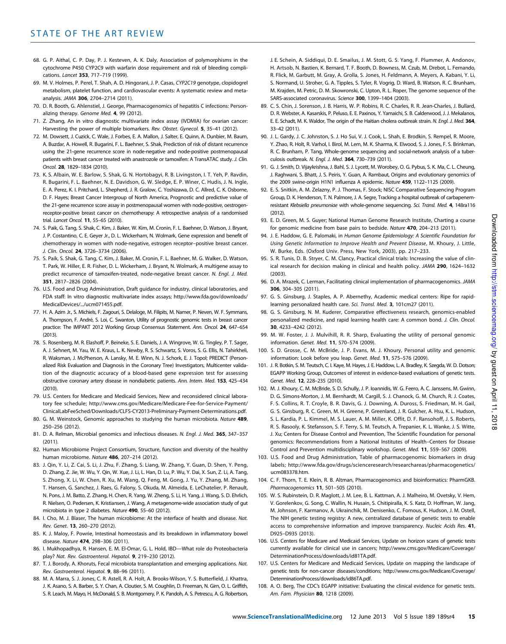- 68. G. P. Aithal, C. P. Day, P. J. Kesteven, A. K. Daly, Association of polymorphisms in the cytochrome P450 CYP2C9 with warfarin dose requirement and risk of bleeding complications. *Lancet* 353, 717–719 (1999).
- 69. M. V. Holmes, P. Perel, T. Shah, A. D. Hingorani, J. P. Casas, *CYP2C19* genotype, clopidogrel metabolism, platelet function, and cardiovascular events: A systematic review and metaanalysis. *JAMA* 306, 2704–2714 (2011).
- 70. D. R. Booth, G. Ahlenstiel, J. George, Pharmacogenomics of hepatitis C infections: Personalizing therapy. *Genome Med.* 4, 99 (2012).
- 71. Z. Zhang, An in vitro diagnostic multivariate index assay (IVDMIA) for ovarian cancer: Harvesting the power of multiple biomarkers. *Rev. Obstet. Gynecol.* 5, 35–41 (2012).
- 72. M. Dowsett, J. Cuzick, C. Wale, J. Forbes, E. A. Mallon, J. Salter, E. Quinn, A. Dunbier, M. Baum, A. Buzdar, A. Howell, R. Bugarini, F. L. Baehner, S. Shak, Prediction of risk of distant recurrence using the 21-gene recurrence score in node-negative and node-positive postmenopausal patients with breast cancer treated with anastrozole or tamoxifen: A TransATAC study. *J. Clin. Oncol.* 28, 1829–1834 (2010).
- 73. K. S. Albain, W. E. Barlow, S. Shak, G. N. Hortobagyi, R. B. Livingston, I. T. Yeh, P. Ravdin, R. Bugarini, F. L. Baehner, N. E. Davidson, G. W. Sledge, E. P. Winer, C. Hudis, J. N. Ingle, E. A. Perez, K. I. Pritchard, L. Shepherd, J. R. Gralow, C. Yoshizawa, D. C. Allred, C. K. Osborne, D. F. Hayes; Breast Cancer Intergroup of North America, Prognostic and predictive value of the 21-gene recurrence score assay in postmenopausal women with node-positive, oestrogenreceptor-positive breast cancer on chemotherapy: A retrospective analysis of a randomised trial. *Lancet Oncol.* 11, 55–65 (2010).
- 74. S. Paik, G. Tang, S. Shak, C. Kim, J. Baker, W. Kim, M. Cronin, F. L. Baehner, D. Watson, J. Bryant, J. P. Costantino, C. E. Geyer Jr., D. L. Wickerham, N. Wolmark, Gene expression and benefit of chemotherapy in women with node-negative, estrogen receptor–positive breast cancer. *J. Clin. Oncol.* 24, 3726–3734 (2006).
- 75. S. Paik, S. Shak, G. Tang, C. Kim, J. Baker, M. Cronin, F. L. Baehner, M. G. Walker, D. Watson, T. Park, W. Hiller, E. R. Fisher, D. L. Wickerham, J. Bryant, N. Wolmark, A multigene assay to predict recurrence of tamoxifen-treated, node-negative breast cancer. *N. Engl. J. Med.* 351, 2817–2826 (2004).
- 76. U.S. Food and Drug Administration, Draft guidance for industry, clinical laboratories, and FDA staff: In vitro diagnostic multivariate index assays; http://www.fda.gov/downloads/ MedicalDevices/.../ucm071455.pdf.
- 77. H. A. Azim Jr., S. Michiels, F. Zagouri, S. Delaloge, M. Filipits, M. Namer, P. Neven, W. F. Symmans, A. Thompson, F. André, S. Loi, C. Swanton, Utility of prognostic genomic tests in breast cancer practice: The IMPAKT 2012 Working Group Consensus Statement. *Ann. Oncol.* 24, 647–654 (2013).
- 78. S. Rosenberg, M. R. Elashoff, P. Beineke, S. E. Daniels, J. A. Wingrove, W. G. Tingley, P. T. Sager, A. J. Sehnert, M. Yau, W. E. Kraus, L. K. Newby, R. S. Schwartz, S. Voros, S. G. Ellis, N. Tahirkheli, R. Waksman, J. McPherson, A. Lansky, M. E. Winn, N. J. Schork, E. J. Topol; PREDICT (Personalized Risk Evaluation and Diagnosis in the Coronary Tree) Investigators, Multicenter validation of the diagnostic accuracy of a blood-based gene expression test for assessing obstructive coronary artery disease in nondiabetic patients. *Ann. Intern. Med.* 153, 425–434 (2010).
- 79. U.S. Centers for Medicare and Medicaid Services, New and reconsidered clinical laboratory fee schedule; http://www.cms.gov/Medicare/Medicare-Fee-for-Service-Payment/ ClinicalLabFeeSched/Downloads/CLFS-CY2013-Preliminary-Payment-Determinations.pdf.
- 80. G. M. Weinstock, Genomic approaches to studying the human microbiota. *Nature* 489, 250–256 (2012).
- 81. D. A. Relman, Microbial genomics and infectious diseases. *N. Engl. J. Med.* 365, 347–357 (2011).
- 82. Human Microbiome Project Consortium, Structure, function and diversity of the healthy human microbiome. *Nature* 486, 207–214 (2012).
- 83. J. Qin, Y. Li, Z. Cai, S. Li, J. Zhu, F. Zhang, S. Liang, W. Zhang, Y. Guan, D. Shen, Y. Peng, D. Zhang, Z. Jie, W. Wu, Y. Qin, W. Xue, J. Li, L. Han, D. Lu, P. Wu, Y. Dai, X. Sun, Z. Li, A. Tang, S. Zhong, X. Li, W. Chen, R. Xu, M. Wang, Q. Feng, M. Gong, J. Yu, Y. Zhang, M. Zhang, T. Hansen, G. Sanchez, J. Raes, G. Falony, S. Okuda, M. Almeida, E. LeChatelier, P. Renault, N. Pons, J. M. Batto, Z. Zhang, H. Chen, R. Yang, W. Zheng, S. Li, H. Yang, J. Wang, S. D. Ehrlich, R. Nielsen, O. Pedersen, K. Kristiansen, J. Wang, A metagenome-wide association study of gut microbiota in type 2 diabetes. *Nature* 490, 55–60 (2012).
- 84. I. Cho, M. J. Blaser, The human microbiome: At the interface of health and disease. *Nat. Rev. Genet.* 13, 260–270 (2012).
- 85. K. J. Maloy, F. Powrie, Intestinal homeostasis and its breakdown in inflammatory bowel disease. *Nature* 474, 298–306 (2011).
- 86. I. Mukhopadhya, R. Hansen, E. M. El-Omar, G. L. Hold, IBD—What role do Proteobacteria play? *Nat. Rev. Gastroenterol. Hepatol.* 9, 219–230 (2012).
- 87. T. J. Borody, A. Khoruts, Fecal microbiota transplantation and emerging applications. *Nat. Rev. Gastroenterol. Hepatol.* 9, 88–96 (2011).
- 88. M. A. Marra, S. J. Jones, C. R. Astell, R. A. Holt, A. Brooks-Wilson, Y. S. Butterfield, J. Khattra, J. K. Asano, S. A. Barber, S. Y. Chan, A. Cloutier, S. M. Coughlin, D. Freeman, N. Girn, O. L. Griffith, S. R. Leach, M. Mayo, H. McDonald, S. B. Montgomery, P. K. Pandoh, A. S. Petrescu, A. G. Robertson,

J. E. Schein, A. Siddiqui, D. E. Smailus, J. M. Stott, G. S. Yang, F. Plummer, A. Andonov, H. Artsob, N. Bastien, K. Bernard, T. F. Booth, D. Bowness, M. Czub, M. Drebot, L. Fernando, R. Flick, M. Garbutt, M. Gray, A. Grolla, S. Jones, H. Feldmann, A. Meyers, A. Kabani, Y. Li, S. Normand, U. Stroher, G. A. Tipples, S. Tyler, R. Vogrig, D. Ward, B. Watson, R. C. Brunham, M. Krajden, M. Petric, D. M. Skowronski, C. Upton, R. L. Roper, The genome sequence of the SARS-associated coronavirus. *Science* 300, 1399–1404 (2003).

- 89. C. S. Chin, J. Sorenson, J. B. Harris, W. P. Robins, R. C. Charles, R. R. Jean-Charles, J. Bullard, D. R. Webster, A. Kasarskis, P. Peluso, E. E. Paxinos, Y. Yamaichi, S. B. Calderwood, J. J. Mekalanos, E. E. Schadt, M. K. Waldor, The origin of the Haitian cholera outbreak strain. *N. Engl. J. Med.* 364, 33–42 (2011).
- 90. J. L. Gardy, J. C. Johnston, S. J. Ho Sui, V. J. Cook, L. Shah, E. Brodkin, S. Rempel, R. Moore, Y. Zhao, R. Holt, R. Varhol, I. Birol, M. Lem, M. K. Sharma, K. Elwood, S. J. Jones, F. S. Brinkman, R. C. Brunham, P. Tang, Whole-genome sequencing and social-network analysis of a tuberculosis outbreak. *N. Engl. J. Med.* 364, 730–739 (2011).
- 91. G. J. Smith, D. Vijaykrishna, J. Bahl, S. J. Lycett, M. Worobey, O. G. Pybus, S. K. Ma, C. L. Cheung, J. Raghwani, S. Bhatt, J. S. Peiris, Y. Guan, A. Rambaut, Origins and evolutionary genomics of the 2009 swine-origin H1N1 influenza A epidemic. *Nature* 459, 1122–1125 (2009).
- 92. E. S. Snitkin, A. M. Zelazny, P. J. Thomas, F. Stock; NISC Comparative Sequencing Program Group, D. K. Henderson, T. N. Palmore, J. A. Segre, Tracking a hospital outbreak of carbapenemresistant *Klebsiella pneumoniae* with whole-genome sequencing. *Sci. Transl. Med.* 4, 148ra116 (2012).
- 93. E. D. Green, M. S. Guyer; National Human Genome Research Institute, Charting a course for genomic medicine from base pairs to bedside. *Nature* 470, 204–213 (2011).
- 94. J. E. Haddow, G. E. Palomaki, in *Human Genome Epidemiology: A Scientific Foundation for Using Genetic Information to Improve Health and Prevent Disease*, M. Khoury, J. Little, W. Burke, Eds. (Oxford Univ. Press, New York, 2003), pp. 217–233.
- 95. S. R. Tunis, D. B. Stryer, C. M. Clancy, Practical clinical trials: Increasing the value of clinical research for decision making in clinical and health policy. *JAMA* 290, 1624–1632 (2003).
- 96. D. A. Mrazek, C. Lerman, Facilitating clinical implementation of pharmacogenomics. *JAMA* 306, 304–305 (2011).
- 97. G. S. Ginsburg, J. Staples, A. P. Abernethy, Academic medical centers: Ripe for rapidlearning personalized health care. *Sci. Transl. Med.* 3, 101cm27 (2011).
- 98. G. S. Ginsburg, N. M. Kuderer, Comparative effectiveness research, genomics-enabled personalized medicine, and rapid learning health care: A common bond. *J. Clin. Oncol.* 30, 4233–4242 (2012).
- 99. M. W. Foster, J. J. Mulvihill, R. R. Sharp, Evaluating the utility of personal genomic information. *Genet. Med.* 11, 570–574 (2009).
- 100. S. D. Grosse, C. M. McBride, J. P. Evans, M. J. Khoury, Personal utility and genomic information: Look before you leap. *Genet. Med.* 11, 575–576 (2009).
- 101. J. R. Botkin, S. M. Teutsch, C. I. Kaye, M. Hayes, J. E. Haddow, L. A. Bradley, K. Szegda, W. D. Dotson; EGAPP Working Group, Outcomes of interest in evidence-based evaluations of genetic tests. *Genet. Med.* 12, 228–235 (2010).
- 102. M. J. Khoury, C. M. McBride, S. D. Schully, J. P. Ioannidis, W. G. Feero, A. C. Janssens, M. Gwinn, D. G. Simons-Morton, J. M. Bernhardt, M. Cargill, S. J. Chanock, G. M. Church, R. J. Coates, F. S. Collins, R. T. Croyle, B. R. Davis, G. J. Downing, A. Duross, S. Friedman, M. H. Gail, G. S. Ginsburg, R. C. Green, M. H. Greene, P. Greenland, J. R. Gulcher, A. Hsu, K. L. Hudson, S. L. Kardia, P. L. Kimmel, M. S. Lauer, A. M. Miller, K. Offit, D. F. Ransohoff, J. S. Roberts, R. S. Rasooly, K. Stefansson, S. F. Terry, S. M. Teutsch, A. Trepanier, K. L. Wanke, J. S. Witte, J. Xu; Centers for Disease Control and Prevention, The Scientific Foundation for personal genomics: Recommendations from a National Institutes of Health–Centers for Disease Control and Prevention multidisciplinary workshop. *Genet. Med.* 11, 559–567 (2009).
- 103. U.S. Food and Drug Administration, Table of pharmacogenomic biomarkers in drug labels; http://www.fda.gov/drugs/scienceresearch/researchareas/pharmacogenetics/ ucm083378.htm.
- 104. C. F. Thorn, T. E. Klein, R. B. Altman, Pharmacogenomics and bioinformatics: PharmGKB. *Pharmacogenomics* 11, 501–505 (2010).
- 105. W. S. Rubinstein, D. R. Maglott, J. M. Lee, B. L. Kattman, A. J. Malheiro, M. Ovetsky, V. Hem, V. Gorelenkov, G. Song, C. Wallin, N. Husain, S. Chitipiralla, K. S. Katz, D. Hoffman, W. Jang, M. Johnson, F. Karmanov, A. Ukrainchik, M. Denisenko, C. Fomous, K. Hudson, J. M. Ostell, The NIH genetic testing registry: A new, centralized database of genetic tests to enable access to comprehensive information and improve transparency. *Nucleic Acids Res.* 41, D925–D935 (2013).
- 106. U.S. Centers for Medicare and Medicaid Services, Update on horizon scans of genetic tests currently available for clinical use in cancers; http://www.cms.gov/Medicare/Coverage/ DeterminationProcess/downloads/id81TA.pdf.
- 107. U.S. Centers for Medicare and Medicaid Services, Update on mapping the landscape of genetic tests for non-cancer diseases/conditions; http://www.cms.gov/Medicare/Coverage/ DeterminationProcess/downloads/id86TA.pdf.
- 108. A. O. Berg, The CDC's EGAPP initiative: Evaluating the clinical evidence for genetic tests. *Am. Fam. Physician* 80, 1218 (2009).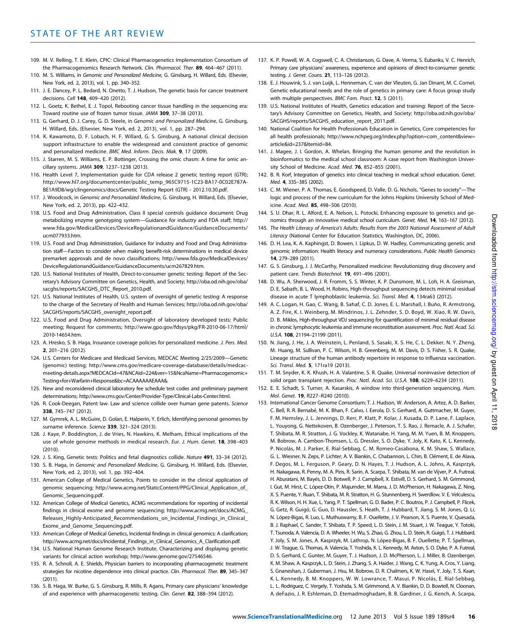- 109. M. V. Relling, T. E. Klein, CPIC: Clinical Pharmacogenetics Implementation Consortium of the Pharmacogenomics Research Network. *Clin. Pharmacol. Ther.* 89, 464–467 (2011).
- 110. M. S. Williams, in *Genomic and Personalized Medicine*, G. Ginsburg, H. Willard, Eds. (Elsevier, New York, ed. 2, 2013), vol. 1, pp. 340–352.
- 111. J. E. Dancey, P. L. Bedard, N. Onetto, T. J. Hudson, The genetic basis for cancer treatment decisions. *Cell* 148, 409–420 (2012).
- 112. L. Goetz, K. Bethel, E. J. Topol, Rebooting cancer tissue handling in the sequencing era: Toward routine use of frozen tumor tissue. *JAMA* 309, 37–38 (2013).
- 113. G. Gerhard, D. J. Carey, G. D. Steele, in *Genomic and Personalized Medicine*, G. Ginsburg, H. Willard, Eds. (Elsevier, New York, ed. 2, 2013), vol. 1, pp. 287–294.
- 114. K. Kawamoto, D. F. Lobach, H. F. Willard, G. S. Ginsburg, A national clinical decision support infrastructure to enable the widespread and consistent practice of genomic and personalized medicine. *BMC Med. Inform. Decis. Mak.* 9, 17 (2009).
- 115. J. Starren, M. S. Williams, E. P. Bottinger, Crossing the omic chasm: A time for omic ancillary systems. *JAMA* 309, 1237–1238 (2013).
- 116. Health Level 7, Implementation guide for CDA release 2 genetic testing report (GTR); http://www.hl7.org/documentcenter/public\_temp\_965C9715-1C23-BA17-0C02E787A-BE1A9D8/wg/clingenomics/docs/Genetic Testing Report (GTR) - 2012.10.30.pdf.
- 117. J. Woodcock, in *Genomic and Personalized Medicine*, G. Ginsburg, H. Willard, Eds. (Elsevier, New York, ed. 2, 2013), pp. 422–432.
- 118. U.S. Food and Drug Administration, Class II special controls guidance document: Drug metabolizing enzyme genotyping system—Guidance for industry and FDA staff; http:// www.fda.gov/MedicalDevices/DeviceRegulationandGuidance/GuidanceDocuments/ ucm077933.htm.
- 119. U.S. Food and Drug Administration, Guidance for industry and Food and Drug Administration staff—Factors to consider when making benefit-risk determinations in medical device premarket approvals and de novo classifications; http://www.fda.gov/MedicalDevices/ DeviceRegulationandGuidance/GuidanceDocuments/ucm267829.htm.
- 120. U.S. National Institutes of Health, Direct-to-consumer genetic testing: Report of the Secretary's Advisory Committee on Genetics, Health, and Society; http://oba.od.nih.gov/oba/ sacghs/reports/SACGHS\_DTC\_Report\_2010.pdf.
- 121. U.S. National Institutes of Health, U.S. system of oversight of genetic testing: A response to the charge of the Secretary of Health and Human Services; http://oba.od.nih.gov/oba/ SACGHS/reports/SACGHS\_oversight\_report.pdf.
- 122. U.S. Food and Drug Administration, Oversight of laboratory developed tests; Public meeting; Request for comments; http://www.gpo.gov/fdsys/pkg/FR-2010-06-17/html/ 2010-14654.htm.
- 123. A. Hresko, S. B. Haga, Insurance coverage policies for personalized medicine. *J. Pers. Med.* 2, 201–216 (2012).
- 124. U.S. Centers for Medicare and Medicaid Services, MEDCAC Meeting 2/25/2009—Genetic (genomic) testing; http://www.cms.gov/medicare-coverage-database/details/medcacmeeting-details.aspx?MEDCACId=47&NCAId=224&ver=15&NcaName=Pharmacogenomic+ Testing+for+Warfarin+Response&bc=ACAAAAAAEAAA&.
- 125. New and reconsidered clinical laboratory fee schedule test codes and preliminary payment determinations; http://www.cms.gov/Center/Provider-Type/Clinical-Labs-Center.html.
- 126. R. Cook-Deegan, Patent law. Law and science collide over human gene patents. *Science* 338, 745–747 (2012).
- 127. M. Gymrek, A. L. McGuire, D. Golan, E. Halperin, Y. Erlich, Identifying personal genomes by surname inference. *Science* 339, 321–324 (2013).
- 128. J. Kaye, P. Boddington, J. de Vries, N. Hawkins, K. Melham, Ethical implications of the use of whole genome methods in medical research. *Eur. J. Hum. Genet.* 18, 398–403 (2010).
- 129. J. S. King, Genetic tests: Politics and fetal diagnostics collide. *Nature* 491, 33–34 (2012).
- 130. S. B. Haga, in *Genomic and Personalized Medicine*, G. Ginsburg, H. Willard, Eds. (Elsevier, New York, ed. 2, 2013), vol. 1, pp. 392–404.
- 131. American College of Medical Genetics, Points to consider in the clinical application of genomic sequencing; http://www.acmg.net/StaticContent/PPG/Clinical\_Application\_of\_ Genomic\_Sequencing.pdf.
- 132. American College of Medical Genetics, ACMG recommendations for reporting of incidental findings in clinical exome and genome sequencing; http://www.acmg.net/docs/ACMG\_ Releases Highly-Anticipated Recommendations on Incidental Findings in Clinical Exome\_and\_Genome\_Sequencing.pdf.
- 133. American College of Medical Genetics, Incidental findings in clinical genomics: A clarification; http://www.acmg.net/docs/Incidental\_Findings\_in\_Clinical\_Genomics\_A\_Clarification.pdf.
- 134. U.S. National Human Genome Research Institute, Characterizing and displaying genetic variants for clinical action workshop; http://www.genome.gov/27546546.
- 135. R. A. Schnoll, A. E. Shields, Physician barriers to incorporating pharmacogenetic treatment strategies for nicotine dependence into clinical practice. *Clin. Pharmacol. Ther.* 89, 345–347 (2011).
- 136. S. B. Haga, W. Burke, G. S. Ginsburg, R. Mills, R. Agans, Primary care physicians' knowledge of and experience with pharmacogenetic testing. *Clin. Genet.* 82, 388–394 (2012).
- 137. K. P. Powell, W. A. Cogswell, C. A. Christianson, G. Dave, A. Verma, S. Eubanks, V. C. Henrich, Primary care physicians' awareness, experience and opinions of direct-to-consumer genetic testing. *J. Genet. Couns.* 21, 113–126 (2012).
- 138. E. J. Houwink, S. J. van Luijk, L. Henneman, C. van der Vleuten, G. Jan Dinant, M. C. Cornel, Genetic educational needs and the role of genetics in primary care: A focus group study with multiple perspectives. *BMC Fam. Pract.* 12, 5 (2011).
- 139. U.S. National Institutes of Health, Genetics education and training: Report of the Secretary's Advisory Committee on Genetics, Health, and Society; http://oba.od.nih.gov/oba/ SACGHS/reports/SACGHS\_education\_report\_2011.pdf.
- 140. National Coalition for Health Professionals Education in Genetics, Core competencies for all health professionals; http://www.nchpeg.org/index.php?option=com\_content&view= article&id=237&Itemid=84.
- 141. J. Magee, J. I. Gordon, A. Whelan, Bringing the human genome and the revolution in bioinformatics to the medical school classroom: A case report from Washington University School of Medicine. *Acad. Med.* 76, 852–855 (2001).
- 142. B. R. Korf, Integration of genetics into clinical teaching in medical school education. *Genet. Med.* 4, 33S–38S (2002).
- 143. C. M. Wiener, P. A. Thomas, E. Goodspeed, D. Valle, D. G. Nichols, "Genes to society"—The logic and process of the new curriculum for the Johns Hopkins University School of Medicine. *Acad. Med.* 85, 498–506 (2010).
- 144. S. U. Dhar, R. L. Alford, E. A. Nelson, L. Potocki, Enhancing exposure to genetics and genomics through an innovative medical school curriculum. *Genet. Med.* 14, 163–167 (2012).
- 145. *The Health Literacy of America*'*s Adults: Results from the 2003 National Assessment of Adult Literacy* (National Center for Education Statistics, Washington, DC, 2006).
- 146. D. H. Lea, K. A. Kaphingst, D. Bowen, I. Lipkus, D. W. Hadley, Communicating genetic and genomic information: Health literacy and numeracy considerations. *Public Health Genomics* 14, 279–289 (2011).
- 147. G. S. Ginsburg, J. J. McCarthy, Personalized medicine: Revolutionizing drug discovery and patient care. *Trends Biotechnol.* 19, 491–496 (2001).
- 148. D. Wu, A. Sherwood, J. R. Fromm, S. S. Winter, K. P. Dunsmore, M. L. Loh, H. A. Greisman, D. E. Sabath, B. L. Wood, H. Robins, High-throughput sequencing detects minimal residual disease in acute T lymphoblastic leukemia. *Sci. Transl. Med.* 4, 134ra63 (2012).
- 149. A. C. Logan, H. Gao, C. Wang, B. Sahaf, C. D. Jones, E. L. Marshall, I. Buño, R. Armstrong, A. Z. Fire, K. I. Weinberg, M. Mindrinos, J. L. Zehnder, S. D. Boyd, W. Xiao, R. W. Davis, D. B. Miklos, High-throughput VDJ sequencing for quantification of minimal residual disease in chronic lymphocytic leukemia and immune reconstitution assessment. *Proc. Natl. Acad. Sci. U.S.A.* 108, 21194–21199 (2011).
- 150. N. Jiang, J. He, J. A. Weinstein, L. Penland, S. Sasaki, X. S. He, C. L. Dekker, N. Y. Zheng, M. Huang, M. Sullivan, P. C. Wilson, H. B. Greenberg, M. M. Davis, D. S. Fisher, S. R. Quake, Lineage structure of the human antibody repertoire in response to influenza vaccination. *Sci. Transl. Med.* 5, 171ra19 (2013).
- 151. T. M. Snyder, K. K. Khush, H. A. Valantine, S. R. Quake, Universal noninvasive detection of solid organ transplant rejection. *Proc. Natl. Acad. Sci. U.S.A.* 108, 6229–6234 (2011).
- 152. E. E. Schadt, S. Turner, A. Kasarskis, A window into third-generation sequencing. *Hum. Mol. Genet.* 19, R227–R240 (2010).
- 153. International Cancer Genome Consortium; T. J. Hudson, W. Anderson, A. Artez, A. D. Barker, C. Bell, R. R. Bernabé, M. K. Bhan, F. Calvo, I. Eerola, D. S. Gerhard, A. Guttmacher, M. Guyer, F. M. Hemsley, J. L. Jennings, D. Kerr, P. Klatt, P. Kolar, J. Kusada, D. P. Lane, F. Laplace, L. Youyong, G. Nettekoven, B. Ozenberger, J. Peterson, T. S. Rao, J. Remacle, A. J. Schafer, T. Shibata, M. R. Stratton, J. G. Vockley, K. Watanabe, H. Yang, M. M. Yuen, B. M. Knoppers, M. Bobrow, A. Cambon-Thomsen, L. G. Dressler, S. O. Dyke, Y. Joly, K. Kato, K. L. Kennedy, P. Nicolás, M. J. Parker, E. Rial-Sebbag, C. M. Romeo-Casabona, K. M. Shaw, S. Wallace, G. L. Wiesner, N. Zeps, P. Lichter, A. V. Biankin, C. Chabannon, L. Chin, B. Clément, E. de Alava, F. Degos, M. L. Ferguson, P. Geary, D. N. Hayes, T. J. Hudson, A. L. Johns, A. Kasprzyk, H. Nakagawa, R. Penny, M. A. Piris, R. Sarin, A. Scarpa, T. Shibata, M. van de Vijver, P. A. Futreal, H. Aburatani, M. Bayés, D. D. Botwell, P. J. Campbell, X. Estivill, D. S. Gerhard, S. M. Grimmond, I. Gut, M. Hirst, C. López-Otín, P. Majumder, M. Marra, J. D. McPherson, H. Nakagawa, Z. Ning, X. S. Puente, Y. Ruan, T. Shibata, M. R. Stratton, H. G. Stunnenberg, H. Swerdlow, V. E. Velculescu, R. K. Wilson, H. H. Xue, L. Yang, P. T. Spellman, G. D. Bader, P. C. Boutros, P. J. Campbell, P. Flicek, G. Getz, R. Guigó, G. Guo, D. Haussler, S. Heath, T. J. Hubbard, T. Jiang, S. M. Jones, Q. Li, N. López-Bigas, R. Luo, L. Muthuswamy, B. F. Ouellette, J. V. Pearson, X. S. Puente, V. Quesada, B. J. Raphael, C. Sander, T. Shibata, T. P. Speed, L. D. Stein, J. M. Stuart, J. W. Teague, Y. Totoki, T. Tsunoda, A. Valencia, D. A. Wheeler, H. Wu, S. Zhao, G. Zhou, L. D. Stein, R. Guigó, T. J. Hubbard, Y. Joly, S. M. Jones, A. Kasprzyk, M. Lathrop, N. López-Bigas, B. F. Ouellette, P. T. Spellman, J. W. Teague, G. Thomas, A. Valencia, T. Yoshida, K. L. Kennedy, M. Axton, S. O. Dyke, P. A. Futreal, D. S. Gerhard, C. Gunter, M. Guyer, T. J. Hudson, J. D. McPherson, L. J. Miller, B. Ozenberger, K. M. Shaw, A. Kasprzyk, L. D. Stein, J. Zhang, S. A. Haider, J. Wang, C. K. Yung, A. Cros, Y. Liang, S. Gnaneshan, J. Guberman, J. Hsu, M. Bobrow, D. R. Chalmers, K. W. Hasel, Y. Joly, T. S. Kaan, K. L. Kennedy, B. M. Knoppers, W. W. Lowrance, T. Masui, P. Nicolás, E. Rial-Sebbag, L. L. Rodriguez, C. Vergely, T. Yoshida, S. M. Grimmond, A. V. Biankin, D. D. Bowtell, N. Cloonan, A. deFazio, J. R. Eshleman, D. Etemadmoghadam, B. B. Gardiner, J. G. Kench, A. Scarpa,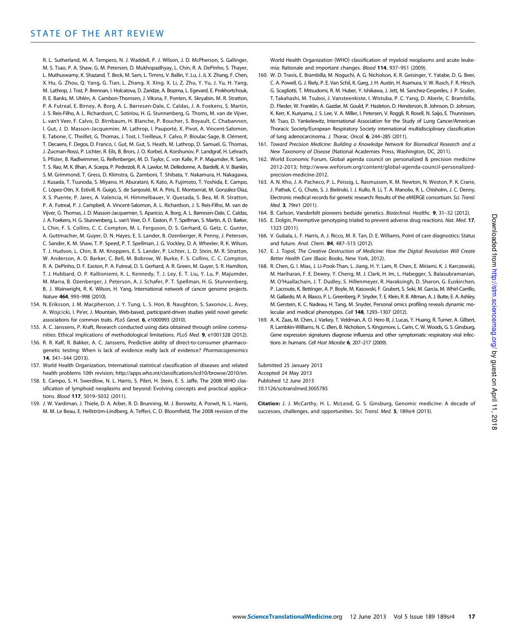R. L. Sutherland, M. A. Tempero, N. J. Waddell, P. J. Wilson, J. D. McPherson, S. Gallinger, M. S. Tsao, P. A. Shaw, G. M. Petersen, D. Mukhopadhyay, L. Chin, R. A. DePinho, S. Thayer, L. Muthuswamy, K. Shazand, T. Beck, M. Sam, L. Timms, V. Ballin, Y. Lu, J. Ji, X. Zhang, F. Chen, X. Hu, G. Zhou, Q. Yang, G. Tian, L. Zhang, X. Xing, X. Li, Z. Zhu, Y. Yu, J. Yu, H. Yang, M. Lathrop, J. Tost, P. Brennan, I. Holcatova, D. Zaridze, A. Brazma, L. Egevard, E. Prokhortchouk, R. E. Banks, M. Uhlén, A. Cambon-Thomsen, J. Viksna, F. Ponten, K. Skryabin, M. R. Stratton, P. A. Futreal, E. Birney, A. Borg, A. L. Børresen-Dale, C. Caldas, J. A. Foekens, S. Martin, J. S. Reis-Filho, A. L. Richardson, C. Sotiriou, H. G. Stunnenberg, G. Thoms, M. van de Vijver, L. van't Veer, F. Calvo, D. Birnbaum, H. Blanche, P. Boucher, S. Boyault, C. Chabannon, I. Gut, J. D. Masson-Jacquemier, M. Lathrop, I. Pauporté, X. Pivot, A. Vincent-Salomon, E. Tabone, C. Theillet, G. Thomas, J. Tost, I. Treilleux, F. Calvo, P. Bioulac-Sage, B. Clément, T. Decaens, F. Degos, D. Franco, I. Gut, M. Gut, S. Heath, M. Lathrop, D. Samuel, G. Thomas, J. Zucman-Rossi, P. Lichter, R. Eils, B. Brors, J. O. Korbel, A. Korshunov, P. Landgraf, H. Lehrach, S. Pfister, B. Radlwimmer, G. Reifenberger, M. D. Taylor, C. von Kalle, P. P. Majumder, R. Sarin, T. S. Rao, M. K. Bhan, A. Scarpa, P. Pederzoli, R. A. Lawlor, M. Delledonne, A. Bardelli, A. V. Biankin, S. M. Grimmond, T. Gress, D. Klimstra, G. Zamboni, T. Shibata, Y. Nakamura, H. Nakagawa, J. Kusada, T. Tsunoda, S. Miyano, H. Aburatani, K. Kato, A. Fujimoto, T. Yoshida, E. Campo, C. López-Otín, X. Estivill, R. Guigó, S. de Sanjoséé, M. A. Piris, E. Montserrat, M. González-Díaz, X. S. Puente, P. Jares, A. Valencia, H. Himmelbauer, V. Quesada, S. Bea, M. R. Stratton, P. A. Futreal, P. J. Campbell, A. Vincent-Salomon, A. L. Richardson, J. S. Reis-Filho, M. van de Vijver, G. Thomas, J. D. Masson-Jacquemier, S. Aparicio, A. Borg, A. L. Børresen-Dale, C. Caldas, J. A. Foekens, H. G. Stunnenberg, L. van't Veer, D. F. Easton, P. T. Spellman, S. Martin, A. D. Barker, L. Chin, F. S. Collins, C. C. Compton, M. L. Ferguson, D. S. Gerhard, G. Getz, C. Gunter, A. Guttmacher, M. Guyer, D. N. Hayes, E. S. Lander, B. Ozenberger, R. Penny, J. Peterson, C. Sander, K. M. Shaw, T. P. Speed, P. T. Spellman, J. G. Vockley, D. A. Wheeler, R. K. Wilson, T. J. Hudson, L. Chin, B. M. Knoppers, E. S. Lander, P. Lichter, L. D. Stein, M. R. Stratton, W. Anderson, A. D. Barker, C. Bell, M. Bobrow, W. Burke, F. S. Collins, C. C. Compton, R. A. DePinho, D. F. Easton, P. A. Futreal, D. S. Gerhard, A. R. Green, M. Guyer, S. R. Hamilton, T. J. Hubbard, O. P. Kallioniemi, K. L. Kennedy, T. J. Ley, E. T. Liu, Y. Lu, P. Majumder, M. Marra, B. Ozenberger, J. Peterson, A. J. Schafer, P. T. Spellman, H. G. Stunnenberg, B. J. Wainwright, R. K. Wilson, H. Yang, International network of cancer genome projects. *Nature* 464, 993–998 (2010).

- 154. N. Eriksson, J. M. Macpherson, J. Y. Tung, L. S. Hon, B. Naughton, S. Saxonov, L. Avey, A. Wojcicki, I. Pe'er, J. Mountain, Web-based, participant-driven studies yield novel genetic associations for common traits. *PLoS Genet.* 6, e1000993 (2010).
- 155. A. C. Janssens, P. Kraft, Research conducted using data obtained through online communities: Ethical implications of methodological limitations. *PLoS Med.* 9, e1001328 (2012).
- 156. R. R. Kalf, R. Bakker, A. C. Janssens, Predictive ability of direct-to-consumer pharmacogenetic testing: When is lack of evidence really lack of evidence? *Pharmacogenomics* 14, 341–344 (2013).
- 157. World Health Organization, International statistical classification of diseases and related health problems 10th revision; http://apps.who.int/classifications/icd10/browse/2010/en.
- 158. E. Campo, S. H. Swerdlow, N. L. Harris, S. Pileri, H. Stein, E. S. Jaffe, The 2008 WHO classification of lymphoid neoplasms and beyond: Evolving concepts and practical applications. *Blood* 117, 5019–5032 (2011).
- 159. J. W. Vardiman, J. Thiele, D. A. Arber, R. D. Brunning, M. J. Borowitz, A. Porwit, N. L. Harris, M. M. Le Beau, E. Hellström-Lindberg, A. Tefferi, C. D. Bloomfield, The 2008 revision of the

World Health Organization (WHO) classification of myeloid neoplasms and acute leukemia: Rationale and important changes. *Blood* 114, 937–951 (2009).

- 160. W. D. Travis, E. Brambilla, M. Noguchi, A. G. Nicholson, K. R. Geisinger, Y. Yatabe, D. G. Beer, C. A. Powell, G. J. Riely, P. E. Van Schil, K. Garg, J. H. Austin, H. Asamura, V. W. Rusch, F. R. Hirsch, G. Scagliotti, T. Mitsudomi, R. M. Huber, Y. Ishikawa, J. Jett, M. Sanchez-Cespedes, J. P. Sculier, T. Takahashi, M. Tsuboi, J. Vansteenkiste, I. Wistuba, P. C. Yang, D. Aberle, C. Brambilla, D. Flieder, W. Franklin, A. Gazdar, M. Gould, P. Hasleton, D. Henderson, B. Johnson, D. Johnson, K. Kerr, K. Kuriyama, J. S. Lee, V. A. Miller, I. Petersen, V. Roggli, R. Rosell, N. Saijo, E. Thunnissen, M. Tsao, D. Yankelewitz, International Association for the Study of Lung Cancer/American Thoracic Society/European Respiratory Society international multidisciplinary classification of lung adenocarcinoma. *J. Thorac. Oncol.* 6, 244–285 (2011).
- 161. *Toward Precision Medicine: Building a Knowledge Network for Biomedical Research and a New Taxonomy of Disease* (National Academies Press, Washington, DC, 2011).
- 162. World Economic Forum, Global agenda council on personalized & precision medicine 2012-2013; http://www.weforum.org/content/global-agenda-council-personalizedprecision-medicine-2012.
- 163. A. N. Kho, J. A. Pacheco, P. L. Peissig, L. Rasmussen, K. M. Newton, N. Weston, P. K. Crane, J. Pathak, C. G. Chute, S. J. Bielinski, I. J. Kullo, R. Li, T. A. Manolio, R. L. Chisholm, J. C. Denny, Electronic medical records for genetic research: Results of the eMERGE consortium. *Sci. Transl. Med.* 3, 79re1 (2011).
- 164. B. Carlson, Vanderbilt pioneers bedside genetics. *Biotechnol. Healthc.* 9, 31–32 (2012).
- 165. E. Dolgin, Preemptive genotyping trialed to prevent adverse drug reactions. *Nat. Med.* 17, 1323 (2011).
- 166. V. Gubala, L. F. Harris, A. J. Ricco, M. X. Tan, D. E. Williams, Point of care diagnostics: Status and future. *Anal. Chem.* 84, 487–515 (2012).
- 167. E. J. Topol, *The Creative Destruction of Medicine: How the Digital Revolution Will Create Better Health Care* (Basic Books, New York, 2012).
- 168. R. Chen, G. I. Mias, J. Li-Pook-Than, L. Jiang, H. Y. Lam, R. Chen, E. Miriami, K. J. Karczewski, M. Hariharan, F. E. Dewey, Y. Cheng, M. J. Clark, H. Im, L. Habegger, S. Balasubramanian, M. O'Huallachain, J. T. Dudley, S. Hillenmeyer, R. Haraksingh, D. Sharon, G. Euskirchen, P. Lacroute, K. Bettinger, A. P. Boyle, M. Kasowski, F. Grubert, S. Seki, M. Garcia, M. Whirl-Carrillo, M. Gallardo, M. A. Blasco, P. L. Greenberg, P. Snyder, T. E. Klein, R. B. Altman, A. J. Butte, E. A. Ashley, M. Gerstein, K. C. Nadeau, H. Tang, M. Snyder, Personal omics profiling reveals dynamic molecular and medical phenotypes. *Cell* 148, 1293–1307 (2012).
- 169. A. K. Zaas, M. Chen, J. Varkey, T. Veldman, A. O. Hero III, J. Lucas, Y. Huang, R. Turner, A. Gilbert, R. Lambkin-Williams, N. C. Øien, B. Nicholson, S. Kingsmore, L. Carin, C. W. Woods, G. S. Ginsburg, Gene expression signatures diagnose influenza and other symptomatic respiratory viral infections in humans. *Cell Host Microbe* 6, 207–217 (2009).

Submitted 25 January 2013 Accepted 24 May 2013 Published 12 June 2013 10.1126/scitranslmed.3005785

Citation: J. J. McCarthy, H. L. McLeod, G. S. Ginsburg, Genomic medicine: A decade of successes, challenges, and opportunities. *Sci. Transl. Med.* 5, 189sr4 (2013).